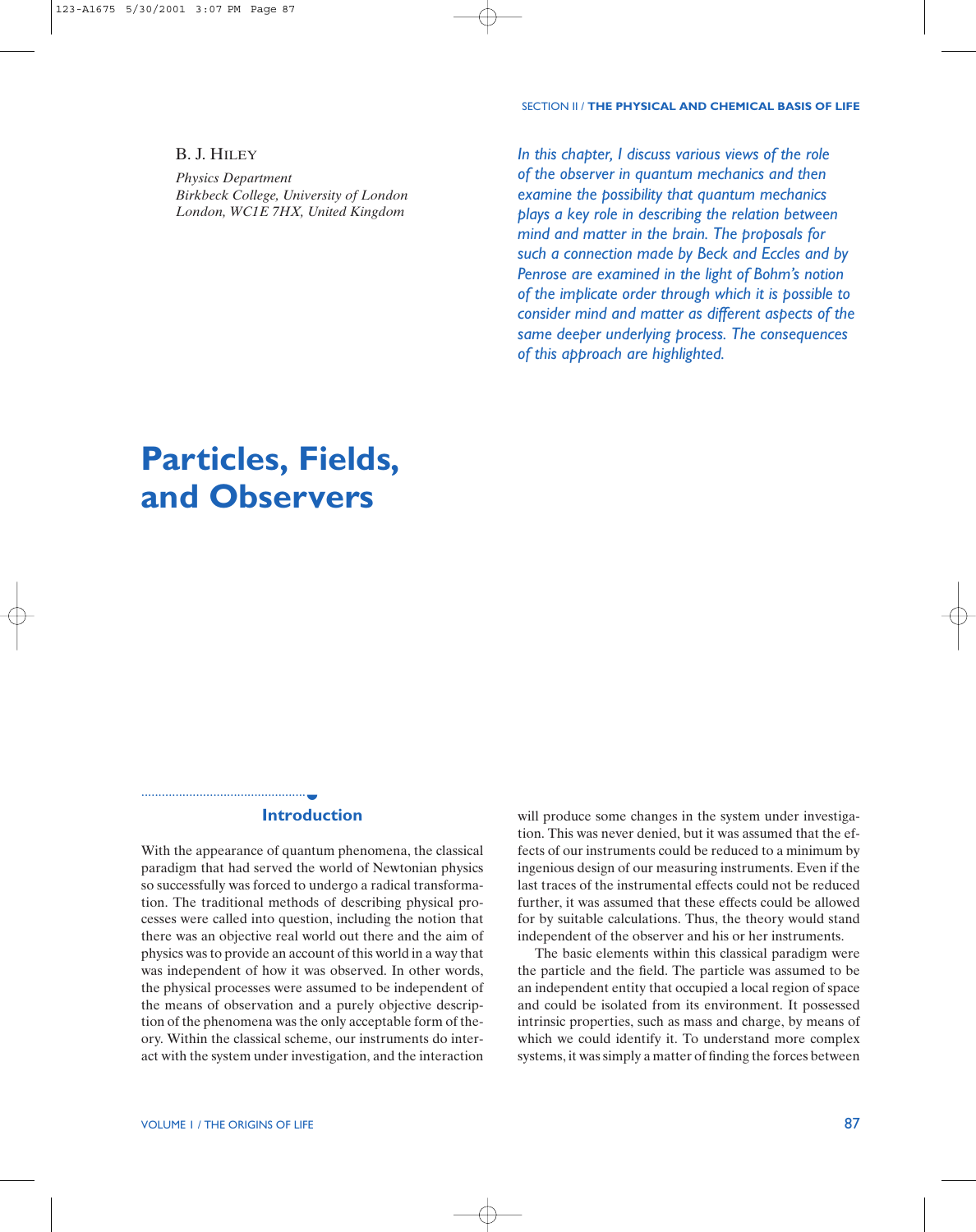#### SECTION II / **THE PHYSICAL AND CHEMICAL BASIS OF LIFE**

# B. J. HILEY

*Physics Department Birkbeck College, University of London London, WC1E 7HX, United Kingdom*

*In this chapter, I discuss various views of the role of the observer in quantum mechanics and then examine the possibility that quantum mechanics plays a key role in describing the relation between mind and matter in the brain. The proposals for such a connection made by Beck and Eccles and by Penrose are examined in the light of Bohm's notion of the implicate order through which it is possible to consider mind and matter as different aspects of the same deeper underlying process. The consequences of this approach are highlighted.*

# **Particles, Fields, and Observers**

#### **Introduction** ◗

With the appearance of quantum phenomena, the classical paradigm that had served the world of Newtonian physics so successfully was forced to undergo a radical transformation. The traditional methods of describing physical processes were called into question, including the notion that there was an objective real world out there and the aim of physics was to provide an account of this world in a way that was independent of how it was observed. In other words, the physical processes were assumed to be independent of the means of observation and a purely objective description of the phenomena was the only acceptable form of theory. Within the classical scheme, our instruments do interact with the system under investigation, and the interaction

will produce some changes in the system under investigation. This was never denied, but it was assumed that the effects of our instruments could be reduced to a minimum by ingenious design of our measuring instruments. Even if the last traces of the instrumental effects could not be reduced further, it was assumed that these effects could be allowed for by suitable calculations. Thus, the theory would stand independent of the observer and his or her instruments.

The basic elements within this classical paradigm were the particle and the field. The particle was assumed to be an independent entity that occupied a local region of space and could be isolated from its environment. It possessed intrinsic properties, such as mass and charge, by means of which we could identify it. To understand more complex systems, it was simply a matter of finding the forces between

................................................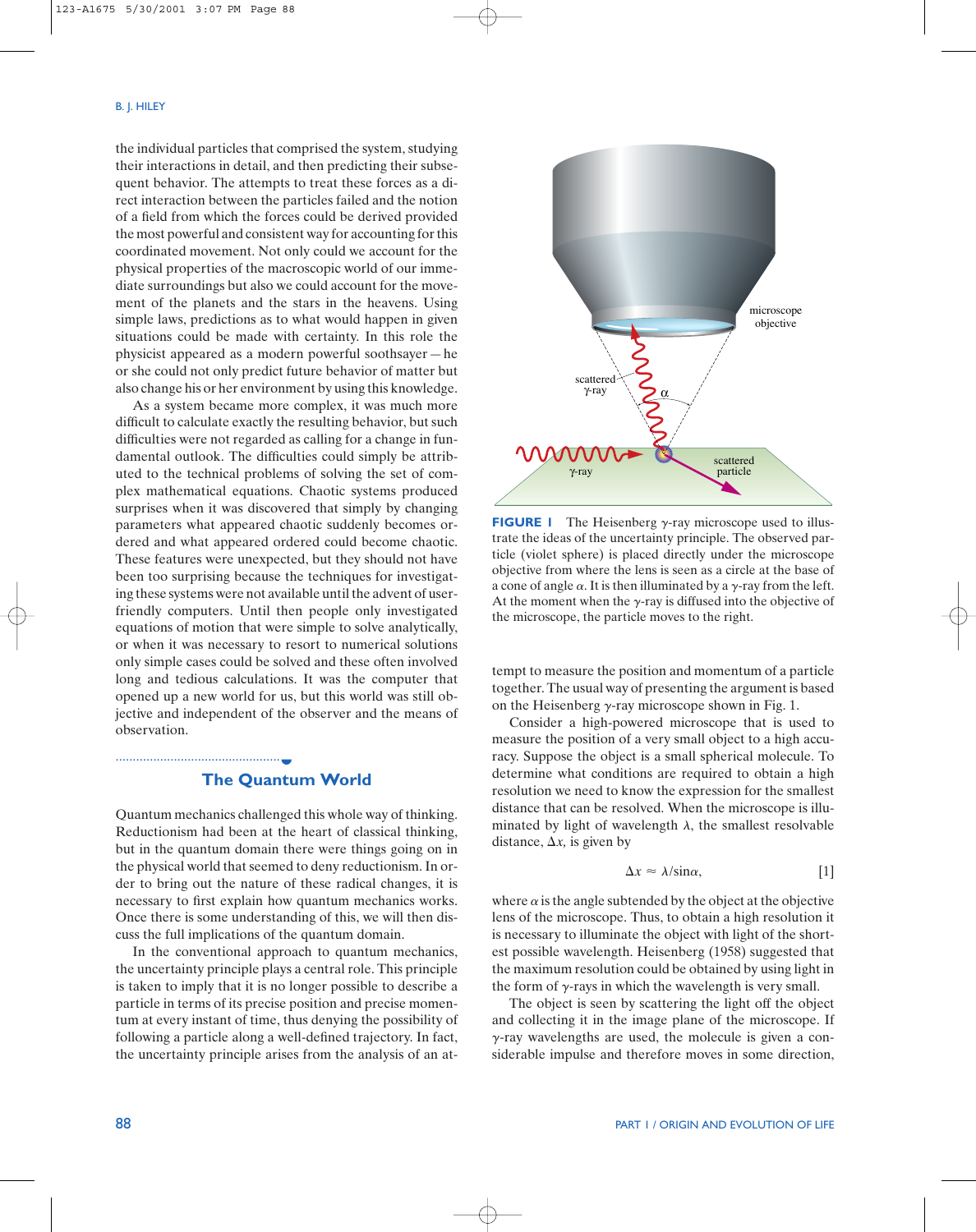the individual particles that comprised the system, studying their interactions in detail, and then predicting their subsequent behavior. The attempts to treat these forces as a direct interaction between the particles failed and the notion of a field from which the forces could be derived provided the most powerful and consistent way for accounting for this coordinated movement. Not only could we account for the physical properties of the macroscopic world of our immediate surroundings but also we could account for the movement of the planets and the stars in the heavens. Using simple laws, predictions as to what would happen in given situations could be made with certainty. In this role the physicist appeared as a modern powerful soothsayer—he or she could not only predict future behavior of matter but also change his or her environment by using this knowledge.

As a system became more complex, it was much more difficult to calculate exactly the resulting behavior, but such difficulties were not regarded as calling for a change in fundamental outlook. The difficulties could simply be attributed to the technical problems of solving the set of complex mathematical equations. Chaotic systems produced surprises when it was discovered that simply by changing parameters what appeared chaotic suddenly becomes ordered and what appeared ordered could become chaotic. These features were unexpected, but they should not have been too surprising because the techniques for investigating these systems were not available until the advent of userfriendly computers. Until then people only investigated equations of motion that were simple to solve analytically, or when it was necessary to resort to numerical solutions only simple cases could be solved and these often involved long and tedious calculations. It was the computer that opened up a new world for us, but this world was still objective and independent of the observer and the means of observation.

# **The Quantum World** ◗

................................................

Quantum mechanics challenged this whole way of thinking. Reductionism had been at the heart of classical thinking, but in the quantum domain there were things going on in the physical world that seemed to deny reductionism. In order to bring out the nature of these radical changes, it is necessary to first explain how quantum mechanics works. Once there is some understanding of this, we will then discuss the full implications of the quantum domain.

In the conventional approach to quantum mechanics, the uncertainty principle plays a central role. This principle is taken to imply that it is no longer possible to describe a particle in terms of its precise position and precise momentum at every instant of time, thus denying the possibility of following a particle along a well-defined trajectory. In fact, the uncertainty principle arises from the analysis of an at-



**FIGURE 1** The Heisenberg  $\gamma$ -ray microscope used to illustrate the ideas of the uncertainty principle. The observed particle (violet sphere) is placed directly under the microscope objective from where the lens is seen as a circle at the base of a cone of angle  $\alpha$ . It is then illuminated by a  $\gamma$ -ray from the left. At the moment when the  $\gamma$ -ray is diffused into the objective of the microscope, the particle moves to the right.

tempt to measure the position and momentum of a particle together. The usual way of presenting the argument is based on the Heisenberg  $\gamma$ -ray microscope shown in Fig. 1.

Consider a high-powered microscope that is used to measure the position of a very small object to a high accuracy. Suppose the object is a small spherical molecule. To determine what conditions are required to obtain a high resolution we need to know the expression for the smallest distance that can be resolved. When the microscope is illuminated by light of wavelength  $\lambda$ , the smallest resolvable distance,  $\Delta x$ , is given by

$$
\Delta x \approx \lambda / \sin \alpha, \tag{1}
$$

where  $\alpha$  is the angle subtended by the object at the objective lens of the microscope. Thus, to obtain a high resolution it is necessary to illuminate the object with light of the shortest possible wavelength. Heisenberg (1958) suggested that the maximum resolution could be obtained by using light in the form of  $\gamma$ -rays in which the wavelength is very small.

The object is seen by scattering the light off the object and collecting it in the image plane of the microscope. If  $\gamma$ -ray wavelengths are used, the molecule is given a considerable impulse and therefore moves in some direction,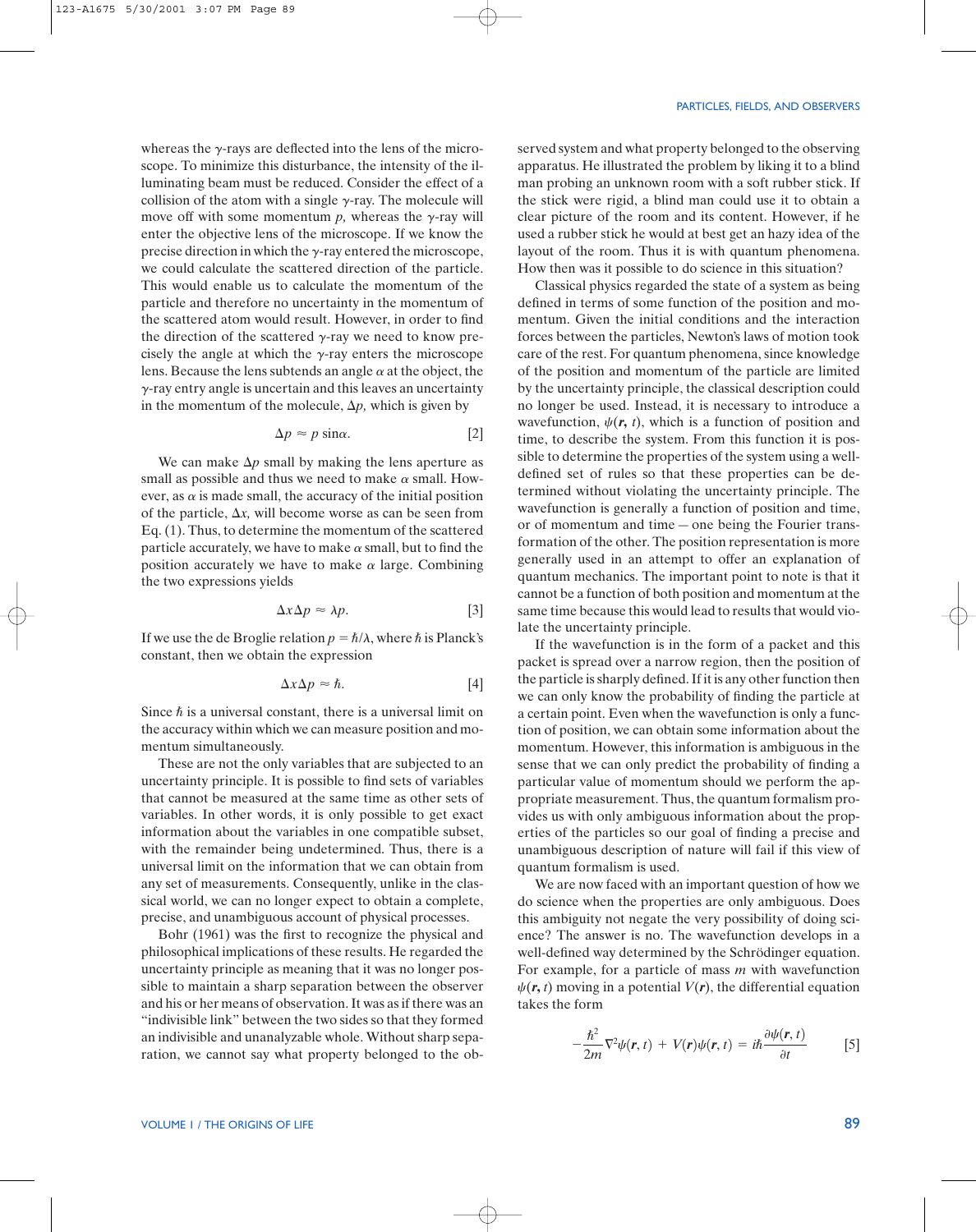whereas the  $\gamma$ -rays are deflected into the lens of the microscope. To minimize this disturbance, the intensity of the illuminating beam must be reduced. Consider the effect of a collision of the atom with a single  $\gamma$ -ray. The molecule will move off with some momentum  $p$ , whereas the  $\gamma$ -ray will enter the objective lens of the microscope. If we know the precise direction in which the  $\gamma$ -ray entered the microscope, we could calculate the scattered direction of the particle. This would enable us to calculate the momentum of the particle and therefore no uncertainty in the momentum of the scattered atom would result. However, in order to find the direction of the scattered  $\gamma$ -ray we need to know precisely the angle at which the  $\gamma$ -ray enters the microscope lens. Because the lens subtends an angle  $\alpha$  at the object, the  $\gamma$ -ray entry angle is uncertain and this leaves an uncertainty in the momentum of the molecule,  $\Delta p$ , which is given by

$$
\Delta p \approx p \sin \alpha. \tag{2}
$$

We can make  $\Delta p$  small by making the lens aperture as small as possible and thus we need to make  $\alpha$  small. However, as  $\alpha$  is made small, the accuracy of the initial position of the particle,  $\Delta x$ , will become worse as can be seen from Eq. (1). Thus, to determine the momentum of the scattered particle accurately, we have to make  $\alpha$  small, but to find the position accurately we have to make  $\alpha$  large. Combining the two expressions yields

$$
\Delta x \Delta p \approx \lambda p. \tag{3}
$$

If we use the de Broglie relation  $p = \hbar/\lambda$ , where  $\hbar$  is Planck's constant, then we obtain the expression

$$
\Delta x \Delta p \approx \hbar. \tag{4}
$$

Since  $\hbar$  is a universal constant, there is a universal limit on the accuracy within which we can measure position and momentum simultaneously.

These are not the only variables that are subjected to an uncertainty principle. It is possible to find sets of variables that cannot be measured at the same time as other sets of variables. In other words, it is only possible to get exact information about the variables in one compatible subset, with the remainder being undetermined. Thus, there is a universal limit on the information that we can obtain from any set of measurements. Consequently, unlike in the classical world, we can no longer expect to obtain a complete, precise, and unambiguous account of physical processes.

Bohr (1961) was the first to recognize the physical and philosophical implications of these results. He regarded the uncertainty principle as meaning that it was no longer possible to maintain a sharp separation between the observer and his or her means of observation. It was as if there was an "indivisible link" between the two sides so that they formed an indivisible and unanalyzable whole. Without sharp separation, we cannot say what property belonged to the ob-

#### PARTICLES, FIELDS, AND OBSERVERS

served system and what property belonged to the observing apparatus. He illustrated the problem by liking it to a blind man probing an unknown room with a soft rubber stick. If the stick were rigid, a blind man could use it to obtain a clear picture of the room and its content. However, if he used a rubber stick he would at best get an hazy idea of the layout of the room. Thus it is with quantum phenomena. How then was it possible to do science in this situation?

Classical physics regarded the state of a system as being defined in terms of some function of the position and momentum. Given the initial conditions and the interaction forces between the particles, Newton's laws of motion took care of the rest. For quantum phenomena, since knowledge of the position and momentum of the particle are limited by the uncertainty principle, the classical description could no longer be used. Instead, it is necessary to introduce a wavefunction,  $\psi(\mathbf{r}, t)$ , which is a function of position and time, to describe the system. From this function it is possible to determine the properties of the system using a welldefined set of rules so that these properties can be determined without violating the uncertainty principle. The wavefunction is generally a function of position and time, or of momentum and time—one being the Fourier transformation of the other. The position representation is more generally used in an attempt to offer an explanation of quantum mechanics. The important point to note is that it cannot be a function of both position and momentum at the same time because this would lead to results that would violate the uncertainty principle.

If the wavefunction is in the form of a packet and this packet is spread over a narrow region, then the position of the particle is sharply defined. If it is any other function then we can only know the probability of finding the particle at a certain point. Even when the wavefunction is only a function of position, we can obtain some information about the momentum. However, this information is ambiguous in the sense that we can only predict the probability of finding a particular value of momentum should we perform the appropriate measurement. Thus, the quantum formalism provides us with only ambiguous information about the properties of the particles so our goal of finding a precise and unambiguous description of nature will fail if this view of quantum formalism is used.

We are now faced with an important question of how we do science when the properties are only ambiguous. Does this ambiguity not negate the very possibility of doing science? The answer is no. The wavefunction develops in a well-defined way determined by the Schrödinger equation. For example, for a particle of mass *m* with wavefunction  $\psi(\mathbf{r}, t)$  moving in a potential  $V(\mathbf{r})$ , the differential equation takes the form

$$
-\frac{\hbar^2}{2m}\nabla^2\psi(\mathbf{r},t) + V(\mathbf{r})\psi(\mathbf{r},t) = i\hbar\frac{\partial\psi(\mathbf{r},t)}{\partial t}
$$
 [5]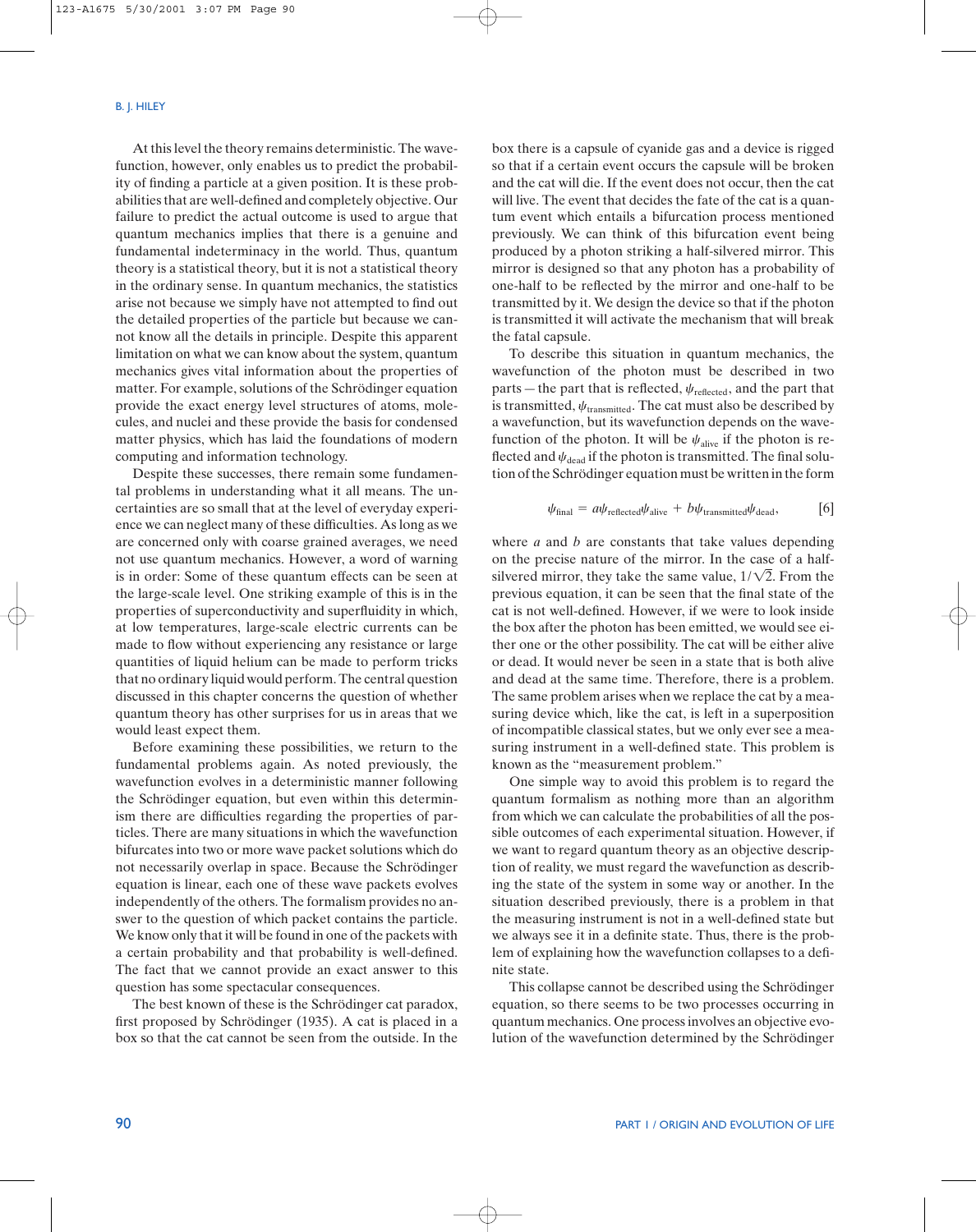At this level the theory remains deterministic. The wavefunction, however, only enables us to predict the probability of finding a particle at a given position. It is these probabilities that are well-defined and completely objective. Our failure to predict the actual outcome is used to argue that quantum mechanics implies that there is a genuine and fundamental indeterminacy in the world. Thus, quantum theory is a statistical theory, but it is not a statistical theory in the ordinary sense. In quantum mechanics, the statistics arise not because we simply have not attempted to find out the detailed properties of the particle but because we cannot know all the details in principle. Despite this apparent limitation on what we can know about the system, quantum mechanics gives vital information about the properties of matter. For example, solutions of the Schrödinger equation provide the exact energy level structures of atoms, molecules, and nuclei and these provide the basis for condensed matter physics, which has laid the foundations of modern computing and information technology.

Despite these successes, there remain some fundamental problems in understanding what it all means. The uncertainties are so small that at the level of everyday experience we can neglect many of these difficulties. As long as we are concerned only with coarse grained averages, we need not use quantum mechanics. However, a word of warning is in order: Some of these quantum effects can be seen at the large-scale level. One striking example of this is in the properties of superconductivity and superfluidity in which, at low temperatures, large-scale electric currents can be made to flow without experiencing any resistance or large quantities of liquid helium can be made to perform tricks that no ordinary liquid would perform. The central question discussed in this chapter concerns the question of whether quantum theory has other surprises for us in areas that we would least expect them.

Before examining these possibilities, we return to the fundamental problems again. As noted previously, the wavefunction evolves in a deterministic manner following the Schrödinger equation, but even within this determinism there are difficulties regarding the properties of particles. There are many situations in which the wavefunction bifurcates into two or more wave packet solutions which do not necessarily overlap in space. Because the Schrödinger equation is linear, each one of these wave packets evolves independently of the others. The formalism provides no answer to the question of which packet contains the particle. We know only that it will be found in one of the packets with a certain probability and that probability is well-defined. The fact that we cannot provide an exact answer to this question has some spectacular consequences.

The best known of these is the Schrödinger cat paradox, first proposed by Schrödinger (1935). A cat is placed in a box so that the cat cannot be seen from the outside. In the box there is a capsule of cyanide gas and a device is rigged so that if a certain event occurs the capsule will be broken and the cat will die. If the event does not occur, then the cat will live. The event that decides the fate of the cat is a quantum event which entails a bifurcation process mentioned previously. We can think of this bifurcation event being produced by a photon striking a half-silvered mirror. This mirror is designed so that any photon has a probability of one-half to be reflected by the mirror and one-half to be transmitted by it. We design the device so that if the photon is transmitted it will activate the mechanism that will break the fatal capsule.

To describe this situation in quantum mechanics, the wavefunction of the photon must be described in two parts — the part that is reflected,  $\psi_{\text{reflected}}$ , and the part that is transmitted,  $\psi_{\text{transmitted}}$ . The cat must also be described by a wavefunction, but its wavefunction depends on the wavefunction of the photon. It will be  $\psi_{\text{alive}}$  if the photon is reflected and  $\psi_{\rm dead}$  if the photon is transmitted. The final solution of the Schrödinger equation must be written in the form

$$
\psi_{\text{final}} = a\psi_{\text{reflected}}\psi_{\text{alive}} + b\psi_{\text{transmitted}}\psi_{\text{dead}},
$$
 [6]

where *a* and *b* are constants that take values depending on the precise nature of the mirror. In the case of a halfsilvered mirror, they take the same value,  $1/\sqrt{2}$ . From the previous equation, it can be seen that the final state of the cat is not well-defined. However, if we were to look inside the box after the photon has been emitted, we would see either one or the other possibility. The cat will be either alive or dead. It would never be seen in a state that is both alive and dead at the same time. Therefore, there is a problem. The same problem arises when we replace the cat by a measuring device which, like the cat, is left in a superposition of incompatible classical states, but we only ever see a measuring instrument in a well-defined state. This problem is known as the "measurement problem."

One simple way to avoid this problem is to regard the quantum formalism as nothing more than an algorithm from which we can calculate the probabilities of all the possible outcomes of each experimental situation. However, if we want to regard quantum theory as an objective description of reality, we must regard the wavefunction as describing the state of the system in some way or another. In the situation described previously, there is a problem in that the measuring instrument is not in a well-defined state but we always see it in a definite state. Thus, there is the problem of explaining how the wavefunction collapses to a definite state.

This collapse cannot be described using the Schrödinger equation, so there seems to be two processes occurring in quantum mechanics. One process involves an objective evolution of the wavefunction determined by the Schrödinger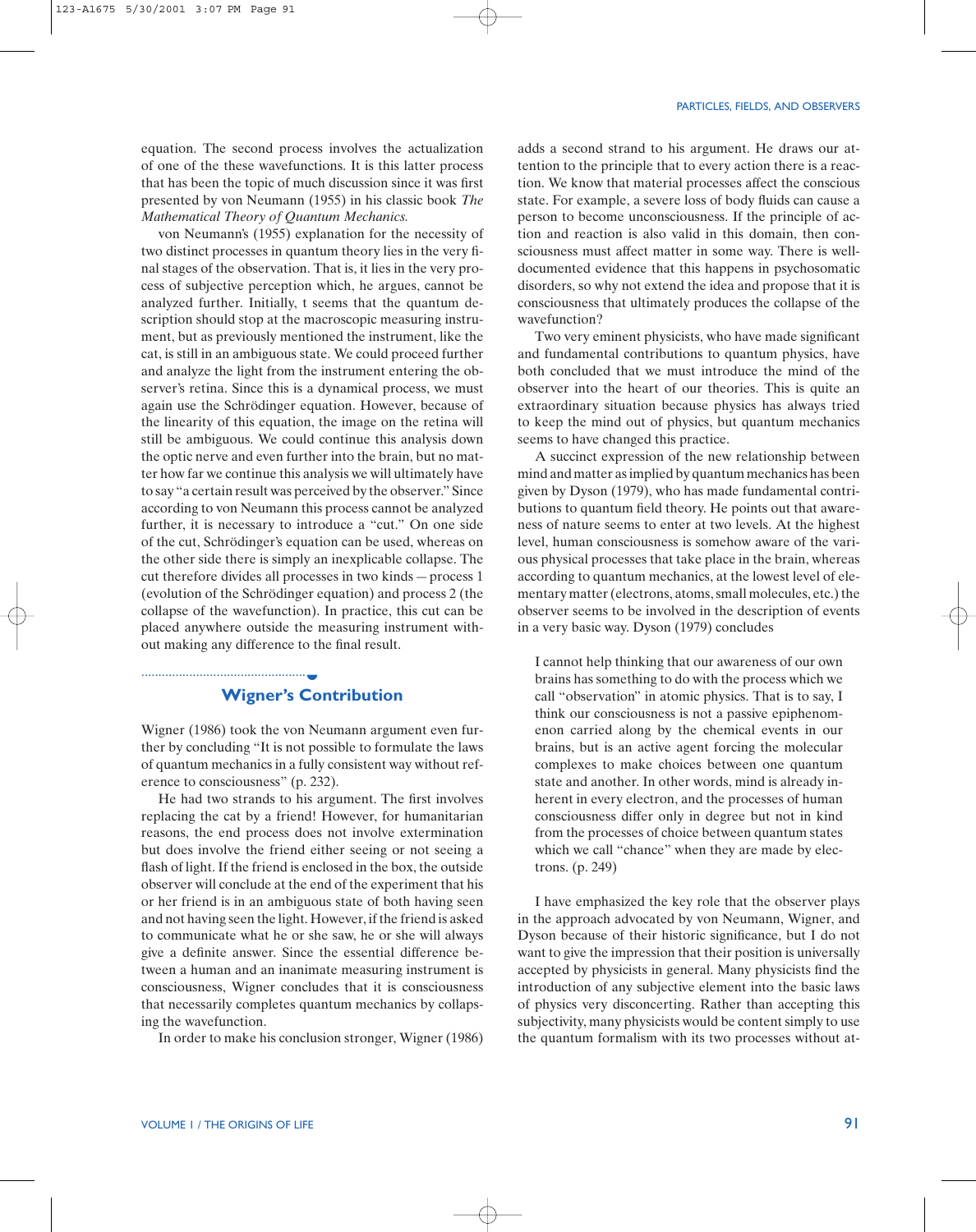123-A1675 5/30/2001 3:07 PM Page 91

equation. The second process involves the actualization of one of the these wavefunctions. It is this latter process that has been the topic of much discussion since it was first presented by von Neumann (1955) in his classic book *The Mathematical Theory of Quantum Mechanics.*

von Neumann's (1955) explanation for the necessity of two distinct processes in quantum theory lies in the very final stages of the observation. That is, it lies in the very process of subjective perception which, he argues, cannot be analyzed further. Initially, t seems that the quantum description should stop at the macroscopic measuring instrument, but as previously mentioned the instrument, like the cat, is still in an ambiguous state. We could proceed further and analyze the light from the instrument entering the observer's retina. Since this is a dynamical process, we must again use the Schrödinger equation. However, because of the linearity of this equation, the image on the retina will still be ambiguous. We could continue this analysis down the optic nerve and even further into the brain, but no matter how far we continue this analysis we will ultimately have to say "a certain result was perceived by the observer." Since according to von Neumann this process cannot be analyzed further, it is necessary to introduce a "cut." On one side of the cut, Schrödinger's equation can be used, whereas on the other side there is simply an inexplicable collapse. The cut therefore divides all processes in two kinds—process 1 (evolution of the Schrödinger equation) and process 2 (the collapse of the wavefunction). In practice, this cut can be placed anywhere outside the measuring instrument without making any difference to the final result.

# **Wigner's Contribution**

................................................ ◗

Wigner (1986) took the von Neumann argument even further by concluding "It is not possible to formulate the laws of quantum mechanics in a fully consistent way without reference to consciousness" (p. 232).

He had two strands to his argument. The first involves replacing the cat by a friend! However, for humanitarian reasons, the end process does not involve extermination but does involve the friend either seeing or not seeing a flash of light. If the friend is enclosed in the box, the outside observer will conclude at the end of the experiment that his or her friend is in an ambiguous state of both having seen and not having seen the light. However, if the friend is asked to communicate what he or she saw, he or she will always give a definite answer. Since the essential difference between a human and an inanimate measuring instrument is consciousness, Wigner concludes that it is consciousness that necessarily completes quantum mechanics by collapsing the wavefunction.

In order to make his conclusion stronger, Wigner (1986)

adds a second strand to his argument. He draws our attention to the principle that to every action there is a reaction. We know that material processes affect the conscious state. For example, a severe loss of body fluids can cause a person to become unconsciousness. If the principle of action and reaction is also valid in this domain, then consciousness must affect matter in some way. There is welldocumented evidence that this happens in psychosomatic disorders, so why not extend the idea and propose that it is consciousness that ultimately produces the collapse of the wavefunction?

Two very eminent physicists, who have made significant and fundamental contributions to quantum physics, have both concluded that we must introduce the mind of the observer into the heart of our theories. This is quite an extraordinary situation because physics has always tried to keep the mind out of physics, but quantum mechanics seems to have changed this practice.

A succinct expression of the new relationship between mind and matter as implied by quantum mechanics has been given by Dyson (1979), who has made fundamental contributions to quantum field theory. He points out that awareness of nature seems to enter at two levels. At the highest level, human consciousness is somehow aware of the various physical processes that take place in the brain, whereas according to quantum mechanics, at the lowest level of elementary matter (electrons, atoms, small molecules, etc.) the observer seems to be involved in the description of events in a very basic way. Dyson (1979) concludes

I cannot help thinking that our awareness of our own brains has something to do with the process which we call "observation" in atomic physics. That is to say, I think our consciousness is not a passive epiphenomenon carried along by the chemical events in our brains, but is an active agent forcing the molecular complexes to make choices between one quantum state and another. In other words, mind is already inherent in every electron, and the processes of human consciousness differ only in degree but not in kind from the processes of choice between quantum states which we call "chance" when they are made by electrons. (p. 249)

I have emphasized the key role that the observer plays in the approach advocated by von Neumann, Wigner, and Dyson because of their historic significance, but I do not want to give the impression that their position is universally accepted by physicists in general. Many physicists find the introduction of any subjective element into the basic laws of physics very disconcerting. Rather than accepting this subjectivity, many physicists would be content simply to use the quantum formalism with its two processes without at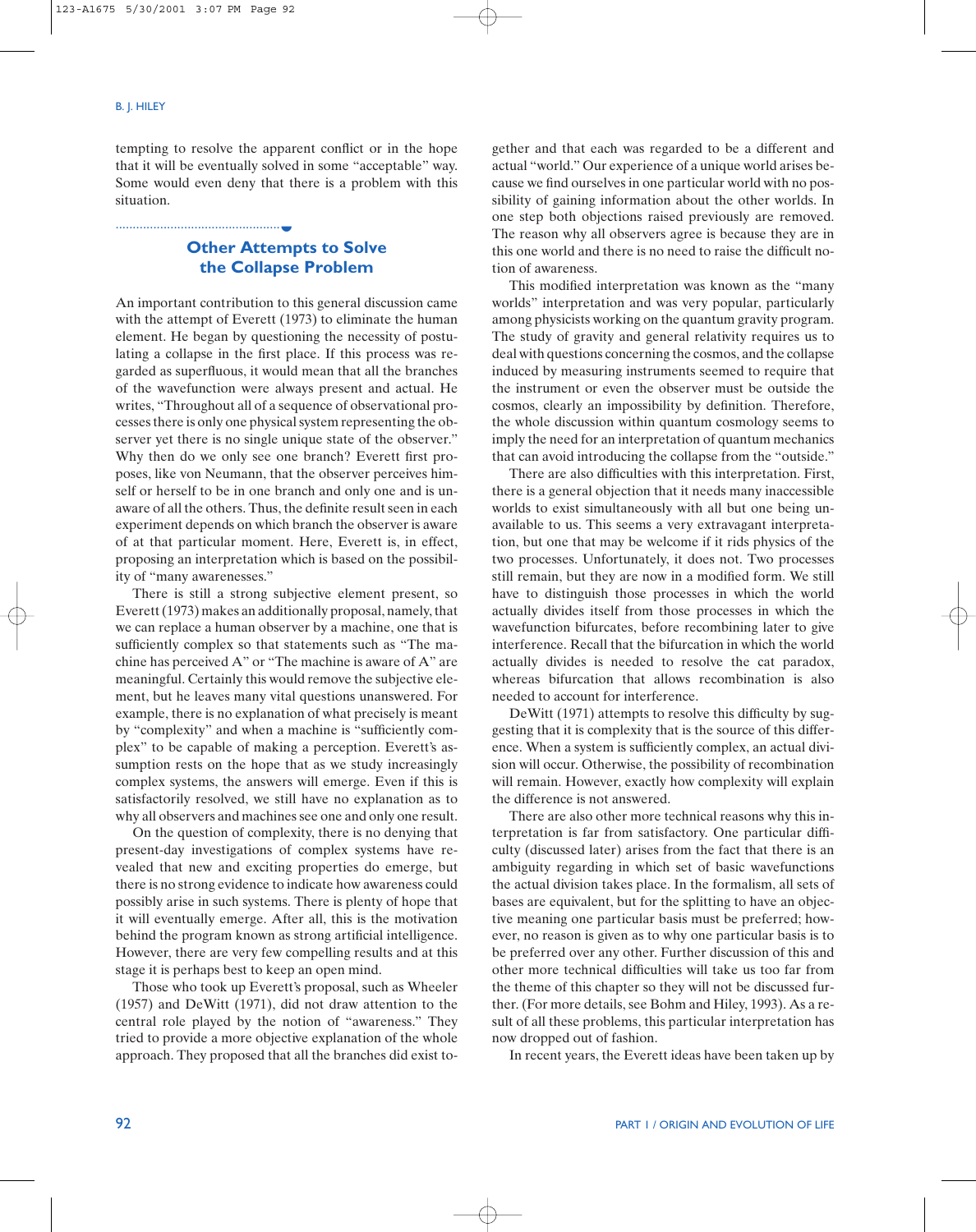................................................

#### B. J. HILEY

tempting to resolve the apparent conflict or in the hope that it will be eventually solved in some "acceptable" way. Some would even deny that there is a problem with this situation.

# **Other Attempts to Solve the Collapse Problem** ◗

An important contribution to this general discussion came with the attempt of Everett (1973) to eliminate the human element. He began by questioning the necessity of postulating a collapse in the first place. If this process was regarded as superfluous, it would mean that all the branches of the wavefunction were always present and actual. He writes, "Throughout all of a sequence of observational processes there is only one physical system representing the observer yet there is no single unique state of the observer." Why then do we only see one branch? Everett first proposes, like von Neumann, that the observer perceives himself or herself to be in one branch and only one and is unaware of all the others. Thus, the definite result seen in each experiment depends on which branch the observer is aware of at that particular moment. Here, Everett is, in effect, proposing an interpretation which is based on the possibility of "many awarenesses."

There is still a strong subjective element present, so Everett (1973) makes an additionally proposal, namely, that we can replace a human observer by a machine, one that is sufficiently complex so that statements such as "The machine has perceived A" or "The machine is aware of A" are meaningful. Certainly this would remove the subjective element, but he leaves many vital questions unanswered. For example, there is no explanation of what precisely is meant by "complexity" and when a machine is "sufficiently complex" to be capable of making a perception. Everett's assumption rests on the hope that as we study increasingly complex systems, the answers will emerge. Even if this is satisfactorily resolved, we still have no explanation as to why all observers and machines see one and only one result.

On the question of complexity, there is no denying that present-day investigations of complex systems have revealed that new and exciting properties do emerge, but there is no strong evidence to indicate how awareness could possibly arise in such systems. There is plenty of hope that it will eventually emerge. After all, this is the motivation behind the program known as strong artificial intelligence. However, there are very few compelling results and at this stage it is perhaps best to keep an open mind.

Those who took up Everett's proposal, such as Wheeler (1957) and DeWitt (1971), did not draw attention to the central role played by the notion of "awareness." They tried to provide a more objective explanation of the whole approach. They proposed that all the branches did exist together and that each was regarded to be a different and actual "world." Our experience of a unique world arises because we find ourselves in one particular world with no possibility of gaining information about the other worlds. In one step both objections raised previously are removed. The reason why all observers agree is because they are in this one world and there is no need to raise the difficult notion of awareness.

This modified interpretation was known as the "many worlds" interpretation and was very popular, particularly among physicists working on the quantum gravity program. The study of gravity and general relativity requires us to deal with questions concerning the cosmos, and the collapse induced by measuring instruments seemed to require that the instrument or even the observer must be outside the cosmos, clearly an impossibility by definition. Therefore, the whole discussion within quantum cosmology seems to imply the need for an interpretation of quantum mechanics that can avoid introducing the collapse from the "outside."

There are also difficulties with this interpretation. First, there is a general objection that it needs many inaccessible worlds to exist simultaneously with all but one being unavailable to us. This seems a very extravagant interpretation, but one that may be welcome if it rids physics of the two processes. Unfortunately, it does not. Two processes still remain, but they are now in a modified form. We still have to distinguish those processes in which the world actually divides itself from those processes in which the wavefunction bifurcates, before recombining later to give interference. Recall that the bifurcation in which the world actually divides is needed to resolve the cat paradox, whereas bifurcation that allows recombination is also needed to account for interference.

DeWitt (1971) attempts to resolve this difficulty by suggesting that it is complexity that is the source of this difference. When a system is sufficiently complex, an actual division will occur. Otherwise, the possibility of recombination will remain. However, exactly how complexity will explain the difference is not answered.

There are also other more technical reasons why this interpretation is far from satisfactory. One particular difficulty (discussed later) arises from the fact that there is an ambiguity regarding in which set of basic wavefunctions the actual division takes place. In the formalism, all sets of bases are equivalent, but for the splitting to have an objective meaning one particular basis must be preferred; however, no reason is given as to why one particular basis is to be preferred over any other. Further discussion of this and other more technical difficulties will take us too far from the theme of this chapter so they will not be discussed further. (For more details, see Bohm and Hiley, 1993). As a result of all these problems, this particular interpretation has now dropped out of fashion.

In recent years, the Everett ideas have been taken up by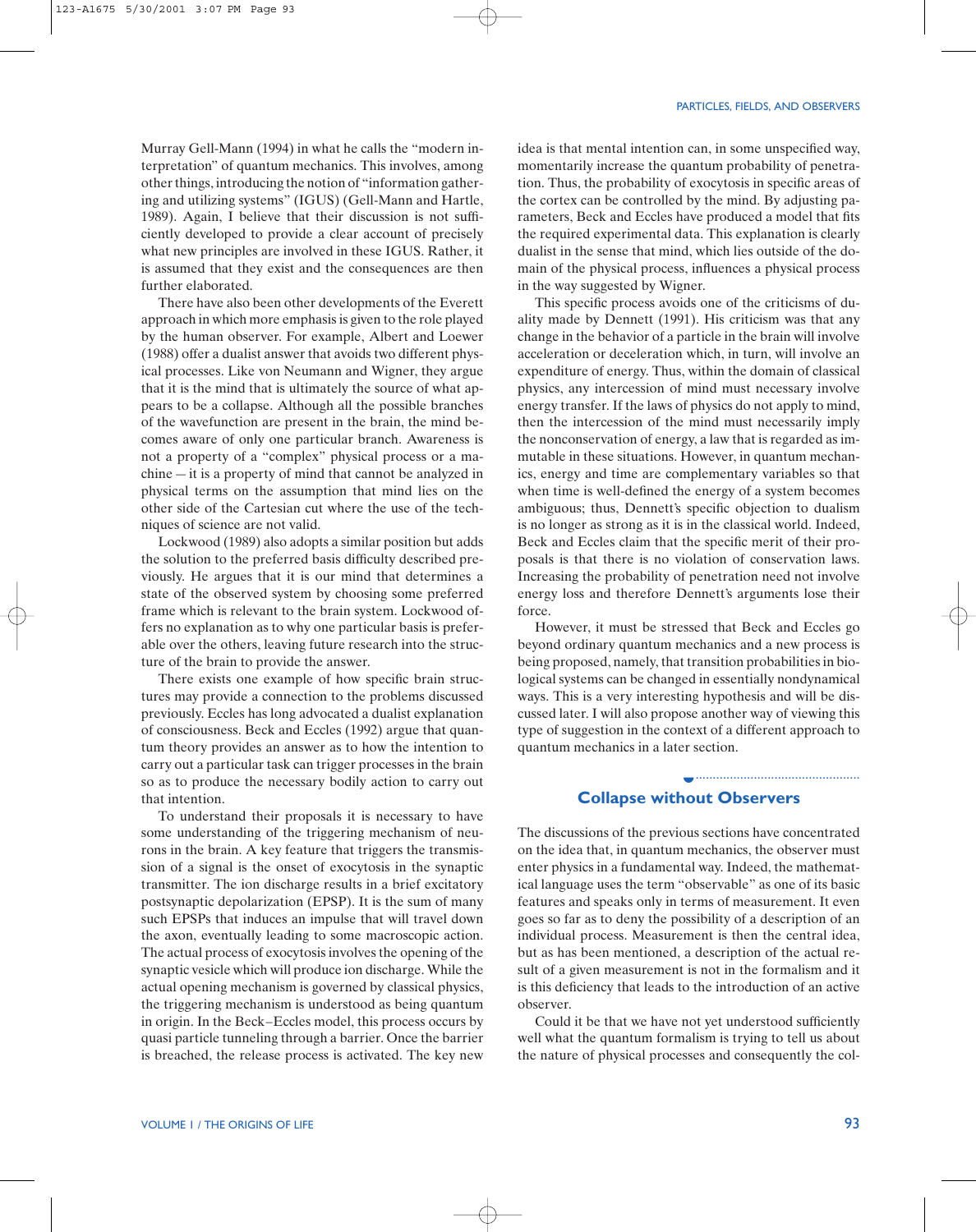Murray Gell-Mann (1994) in what he calls the "modern interpretation" of quantum mechanics. This involves, among other things, introducing the notion of "information gathering and utilizing systems" (IGUS) (Gell-Mann and Hartle, 1989). Again, I believe that their discussion is not sufficiently developed to provide a clear account of precisely what new principles are involved in these IGUS. Rather, it is assumed that they exist and the consequences are then further elaborated.

There have also been other developments of the Everett approach in which more emphasis is given to the role played by the human observer. For example, Albert and Loewer (1988) offer a dualist answer that avoids two different physical processes. Like von Neumann and Wigner, they argue that it is the mind that is ultimately the source of what appears to be a collapse. Although all the possible branches of the wavefunction are present in the brain, the mind becomes aware of only one particular branch. Awareness is not a property of a "complex" physical process or a machine—it is a property of mind that cannot be analyzed in physical terms on the assumption that mind lies on the other side of the Cartesian cut where the use of the techniques of science are not valid.

Lockwood (1989) also adopts a similar position but adds the solution to the preferred basis difficulty described previously. He argues that it is our mind that determines a state of the observed system by choosing some preferred frame which is relevant to the brain system. Lockwood offers no explanation as to why one particular basis is preferable over the others, leaving future research into the structure of the brain to provide the answer.

There exists one example of how specific brain structures may provide a connection to the problems discussed previously. Eccles has long advocated a dualist explanation of consciousness. Beck and Eccles (1992) argue that quantum theory provides an answer as to how the intention to carry out a particular task can trigger processes in the brain so as to produce the necessary bodily action to carry out that intention.

To understand their proposals it is necessary to have some understanding of the triggering mechanism of neurons in the brain. A key feature that triggers the transmission of a signal is the onset of exocytosis in the synaptic transmitter. The ion discharge results in a brief excitatory postsynaptic depolarization (EPSP). It is the sum of many such EPSPs that induces an impulse that will travel down the axon, eventually leading to some macroscopic action. The actual process of exocytosis involves the opening of the synaptic vesicle which will produce ion discharge. While the actual opening mechanism is governed by classical physics, the triggering mechanism is understood as being quantum in origin. In the Beck–Eccles model, this process occurs by quasi particle tunneling through a barrier. Once the barrier is breached, the release process is activated. The key new idea is that mental intention can, in some unspecified way, momentarily increase the quantum probability of penetration. Thus, the probability of exocytosis in specific areas of the cortex can be controlled by the mind. By adjusting parameters, Beck and Eccles have produced a model that fits the required experimental data. This explanation is clearly dualist in the sense that mind, which lies outside of the domain of the physical process, influences a physical process in the way suggested by Wigner.

This specific process avoids one of the criticisms of duality made by Dennett (1991). His criticism was that any change in the behavior of a particle in the brain will involve acceleration or deceleration which, in turn, will involve an expenditure of energy. Thus, within the domain of classical physics, any intercession of mind must necessary involve energy transfer. If the laws of physics do not apply to mind, then the intercession of the mind must necessarily imply the nonconservation of energy, a law that is regarded as immutable in these situations. However, in quantum mechanics, energy and time are complementary variables so that when time is well-defined the energy of a system becomes ambiguous; thus, Dennett's specific objection to dualism is no longer as strong as it is in the classical world. Indeed, Beck and Eccles claim that the specific merit of their proposals is that there is no violation of conservation laws. Increasing the probability of penetration need not involve energy loss and therefore Dennett's arguments lose their force.

However, it must be stressed that Beck and Eccles go beyond ordinary quantum mechanics and a new process is being proposed, namely, that transition probabilities in biological systems can be changed in essentially nondynamical ways. This is a very interesting hypothesis and will be discussed later. I will also propose another way of viewing this type of suggestion in the context of a different approach to quantum mechanics in a later section.

# **Collapse without Observers** ◗

................................................

The discussions of the previous sections have concentrated on the idea that, in quantum mechanics, the observer must enter physics in a fundamental way. Indeed, the mathematical language uses the term "observable" as one of its basic features and speaks only in terms of measurement. It even goes so far as to deny the possibility of a description of an individual process. Measurement is then the central idea, but as has been mentioned, a description of the actual result of a given measurement is not in the formalism and it is this deficiency that leads to the introduction of an active observer.

Could it be that we have not yet understood sufficiently well what the quantum formalism is trying to tell us about the nature of physical processes and consequently the col-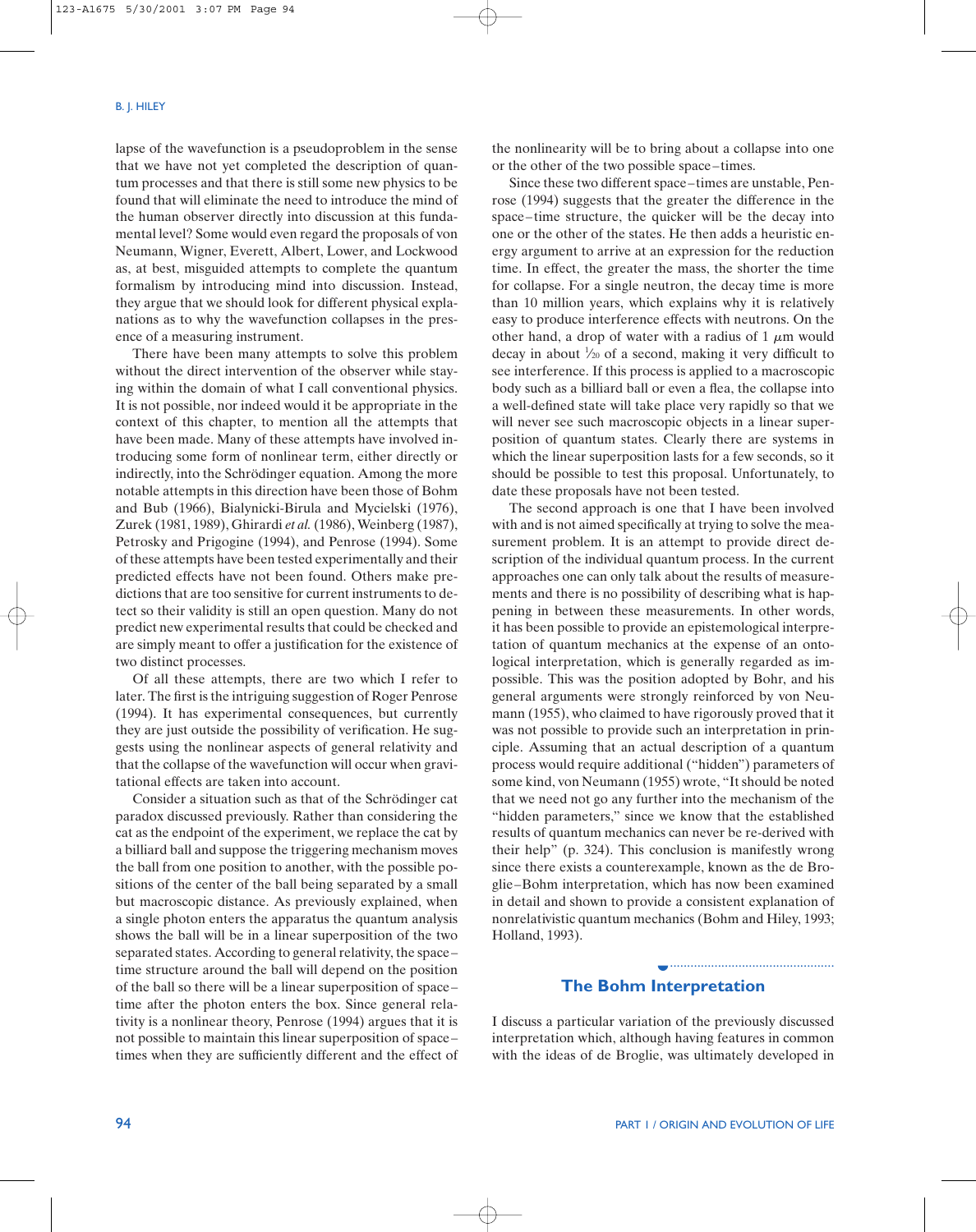lapse of the wavefunction is a pseudoproblem in the sense that we have not yet completed the description of quantum processes and that there is still some new physics to be found that will eliminate the need to introduce the mind of the human observer directly into discussion at this fundamental level? Some would even regard the proposals of von Neumann, Wigner, Everett, Albert, Lower, and Lockwood as, at best, misguided attempts to complete the quantum formalism by introducing mind into discussion. Instead, they argue that we should look for different physical explanations as to why the wavefunction collapses in the presence of a measuring instrument.

There have been many attempts to solve this problem without the direct intervention of the observer while staying within the domain of what I call conventional physics. It is not possible, nor indeed would it be appropriate in the context of this chapter, to mention all the attempts that have been made. Many of these attempts have involved introducing some form of nonlinear term, either directly or indirectly, into the Schrödinger equation. Among the more notable attempts in this direction have been those of Bohm and Bub (1966), Bialynicki-Birula and Mycielski (1976), Zurek (1981, 1989), Ghirardi *et al.*(1986), Weinberg (1987), Petrosky and Prigogine (1994), and Penrose (1994). Some of these attempts have been tested experimentally and their predicted effects have not been found. Others make predictions that are too sensitive for current instruments to detect so their validity is still an open question. Many do not predict new experimental results that could be checked and are simply meant to offer a justification for the existence of two distinct processes.

Of all these attempts, there are two which I refer to later. The first is the intriguing suggestion of Roger Penrose (1994). It has experimental consequences, but currently they are just outside the possibility of verification. He suggests using the nonlinear aspects of general relativity and that the collapse of the wavefunction will occur when gravitational effects are taken into account.

Consider a situation such as that of the Schrödinger cat paradox discussed previously. Rather than considering the cat as the endpoint of the experiment, we replace the cat by a billiard ball and suppose the triggering mechanism moves the ball from one position to another, with the possible positions of the center of the ball being separated by a small but macroscopic distance. As previously explained, when a single photon enters the apparatus the quantum analysis shows the ball will be in a linear superposition of the two separated states. According to general relativity, the space– time structure around the ball will depend on the position of the ball so there will be a linear superposition of space– time after the photon enters the box. Since general relativity is a nonlinear theory, Penrose (1994) argues that it is not possible to maintain this linear superposition of space– times when they are sufficiently different and the effect of the nonlinearity will be to bring about a collapse into one or the other of the two possible space–times.

Since these two different space–times are unstable, Penrose (1994) suggests that the greater the difference in the space–time structure, the quicker will be the decay into one or the other of the states. He then adds a heuristic energy argument to arrive at an expression for the reduction time. In effect, the greater the mass, the shorter the time for collapse. For a single neutron, the decay time is more than 10 million years, which explains why it is relatively easy to produce interference effects with neutrons. On the other hand, a drop of water with a radius of 1  $\mu$ m would decay in about  $\frac{1}{20}$  of a second, making it very difficult to see interference. If this process is applied to a macroscopic body such as a billiard ball or even a flea, the collapse into a well-defined state will take place very rapidly so that we will never see such macroscopic objects in a linear superposition of quantum states. Clearly there are systems in which the linear superposition lasts for a few seconds, so it should be possible to test this proposal. Unfortunately, to date these proposals have not been tested.

The second approach is one that I have been involved with and is not aimed specifically at trying to solve the measurement problem. It is an attempt to provide direct description of the individual quantum process. In the current approaches one can only talk about the results of measurements and there is no possibility of describing what is happening in between these measurements. In other words, it has been possible to provide an epistemological interpretation of quantum mechanics at the expense of an ontological interpretation, which is generally regarded as impossible. This was the position adopted by Bohr, and his general arguments were strongly reinforced by von Neumann (1955), who claimed to have rigorously proved that it was not possible to provide such an interpretation in principle. Assuming that an actual description of a quantum process would require additional ("hidden") parameters of some kind, von Neumann (1955) wrote, "It should be noted that we need not go any further into the mechanism of the "hidden parameters," since we know that the established results of quantum mechanics can never be re-derived with their help" (p. 324). This conclusion is manifestly wrong since there exists a counterexample, known as the de Broglie–Bohm interpretation, which has now been examined in detail and shown to provide a consistent explanation of nonrelativistic quantum mechanics (Bohm and Hiley, 1993; Holland, 1993).

# **The Bohm Interpretation** ◗

I discuss a particular variation of the previously discussed interpretation which, although having features in common with the ideas of de Broglie, was ultimately developed in

................................................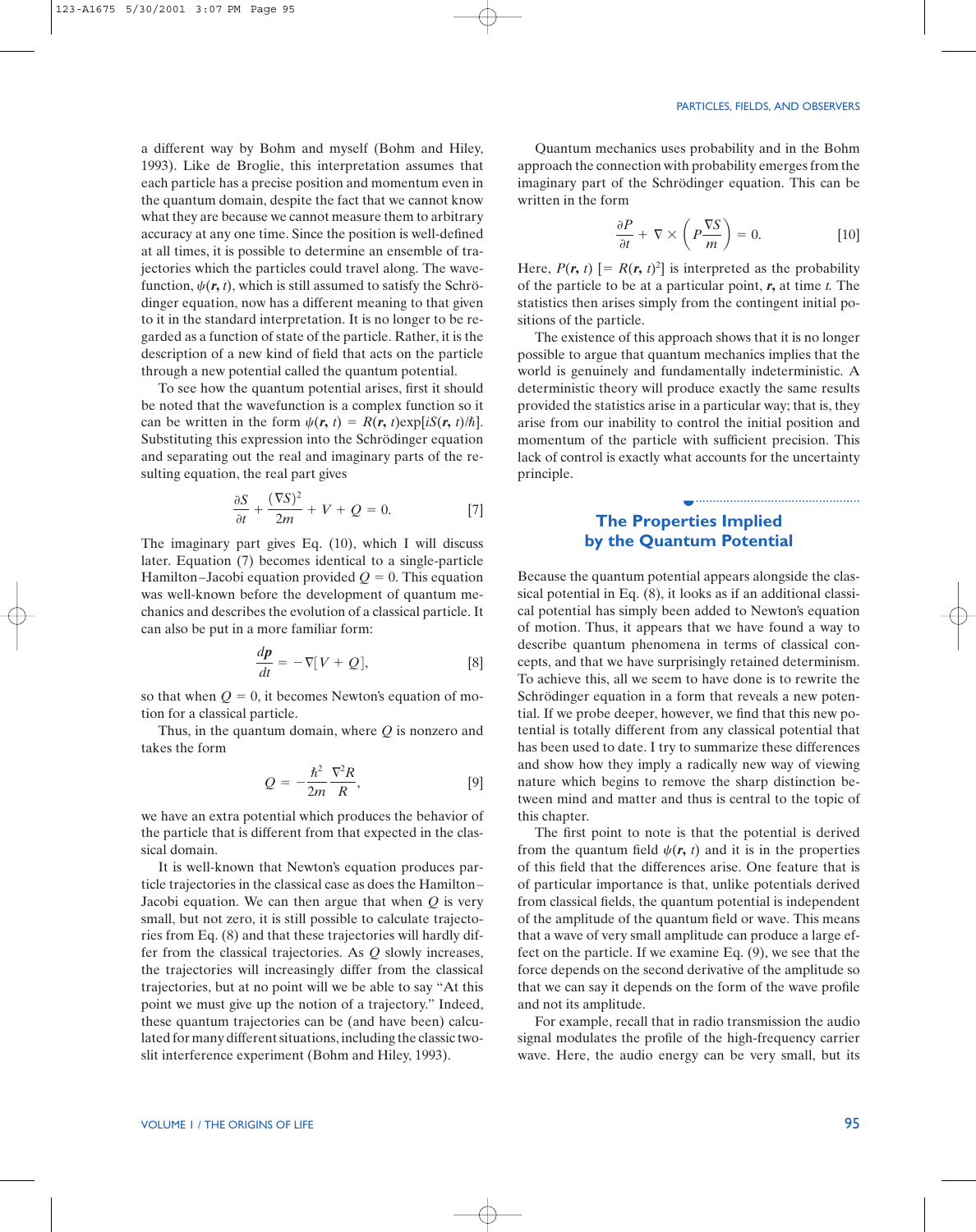................................................

a different way by Bohm and myself (Bohm and Hiley, 1993). Like de Broglie, this interpretation assumes that each particle has a precise position and momentum even in the quantum domain, despite the fact that we cannot know what they are because we cannot measure them to arbitrary accuracy at any one time. Since the position is well-defined at all times, it is possible to determine an ensemble of trajectories which the particles could travel along. The wavefunction,  $\psi(\mathbf{r}, t)$ , which is still assumed to satisfy the Schrödinger equation, now has a different meaning to that given to it in the standard interpretation. It is no longer to be regarded as a function of state of the particle. Rather, it is the description of a new kind of field that acts on the particle through a new potential called the quantum potential.

To see how the quantum potential arises, first it should be noted that the wavefunction is a complex function so it can be written in the form  $\psi(\mathbf{r}, t) = R(\mathbf{r}, t) \exp[iS(\mathbf{r}, t)/\hbar].$ Substituting this expression into the Schrödinger equation and separating out the real and imaginary parts of the resulting equation, the real part gives

$$
\frac{\partial S}{\partial t} + \frac{(\nabla S)^2}{2m} + V + Q = 0.
$$
 [7]

The imaginary part gives Eq. (10), which I will discuss later. Equation (7) becomes identical to a single-particle Hamilton–Jacobi equation provided  $Q = 0$ . This equation was well-known before the development of quantum mechanics and describes the evolution of a classical particle. It can also be put in a more familiar form:

$$
\frac{d\mathbf{p}}{dt} = -\nabla[V + Q],\tag{8}
$$

so that when  $Q = 0$ , it becomes Newton's equation of motion for a classical particle.

Thus, in the quantum domain, where *Q* is nonzero and takes the form

$$
Q = -\frac{\hbar^2}{2m} \frac{\nabla^2 R}{R},
$$
 [9]

we have an extra potential which produces the behavior of the particle that is different from that expected in the classical domain.

It is well-known that Newton's equation produces particle trajectories in the classical case as does the Hamilton– Jacobi equation. We can then argue that when *Q* is very small, but not zero, it is still possible to calculate trajectories from Eq. (8) and that these trajectories will hardly differ from the classical trajectories. As *Q* slowly increases, the trajectories will increasingly differ from the classical trajectories, but at no point will we be able to say "At this point we must give up the notion of a trajectory." Indeed, these quantum trajectories can be (and have been) calculated for many different situations, including the classic twoslit interference experiment (Bohm and Hiley, 1993).

Quantum mechanics uses probability and in the Bohm approach the connection with probability emerges from the imaginary part of the Schrödinger equation. This can be written in the form

$$
\frac{\partial P}{\partial t} + \nabla \times \left( P \frac{\nabla S}{m} \right) = 0. \tag{10}
$$

Here,  $P(r, t)$  [=  $R(r, t)^2$ ] is interpreted as the probability of the particle to be at a particular point, *r***,** at time *t.* The statistics then arises simply from the contingent initial positions of the particle.

The existence of this approach shows that it is no longer possible to argue that quantum mechanics implies that the world is genuinely and fundamentally indeterministic. A deterministic theory will produce exactly the same results provided the statistics arise in a particular way; that is, they arise from our inability to control the initial position and momentum of the particle with sufficient precision. This lack of control is exactly what accounts for the uncertainty principle.

# **The Properties Implied by the Quantum Potential**

◗

Because the quantum potential appears alongside the classical potential in Eq. (8), it looks as if an additional classical potential has simply been added to Newton's equation of motion. Thus, it appears that we have found a way to describe quantum phenomena in terms of classical concepts, and that we have surprisingly retained determinism. To achieve this, all we seem to have done is to rewrite the Schrödinger equation in a form that reveals a new potential. If we probe deeper, however, we find that this new potential is totally different from any classical potential that has been used to date. I try to summarize these differences and show how they imply a radically new way of viewing nature which begins to remove the sharp distinction between mind and matter and thus is central to the topic of this chapter.

The first point to note is that the potential is derived from the quantum field  $\psi(r, t)$  and it is in the properties of this field that the differences arise. One feature that is of particular importance is that, unlike potentials derived from classical fields, the quantum potential is independent of the amplitude of the quantum field or wave. This means that a wave of very small amplitude can produce a large effect on the particle. If we examine Eq. (9), we see that the force depends on the second derivative of the amplitude so that we can say it depends on the form of the wave profile and not its amplitude.

For example, recall that in radio transmission the audio signal modulates the profile of the high-frequency carrier wave. Here, the audio energy can be very small, but its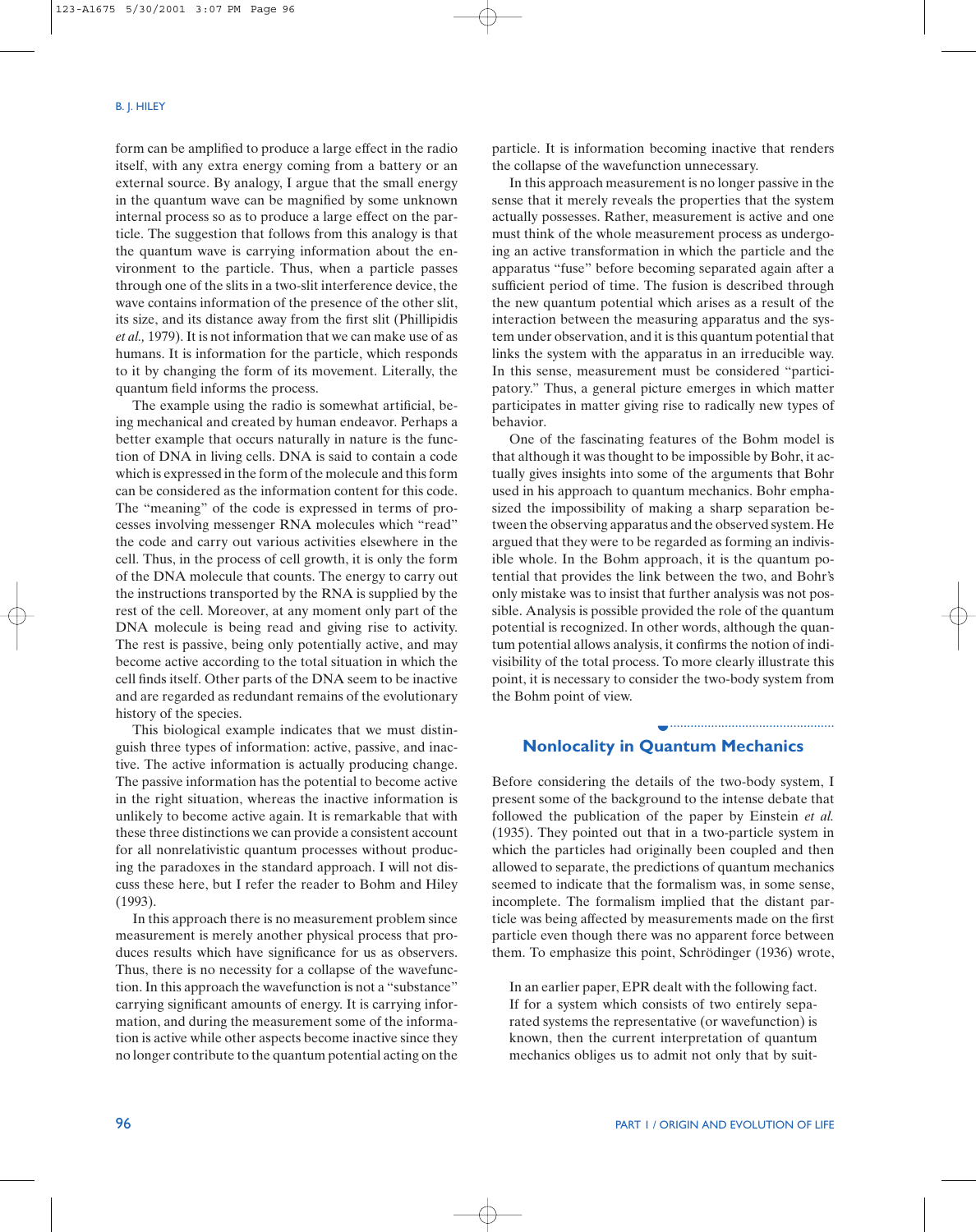form can be amplified to produce a large effect in the radio itself, with any extra energy coming from a battery or an external source. By analogy, I argue that the small energy in the quantum wave can be magnified by some unknown internal process so as to produce a large effect on the particle. The suggestion that follows from this analogy is that the quantum wave is carrying information about the environment to the particle. Thus, when a particle passes through one of the slits in a two-slit interference device, the wave contains information of the presence of the other slit, its size, and its distance away from the first slit (Phillipidis *et al.,* 1979). It is not information that we can make use of as humans. It is information for the particle, which responds to it by changing the form of its movement. Literally, the quantum field informs the process.

The example using the radio is somewhat artificial, being mechanical and created by human endeavor. Perhaps a better example that occurs naturally in nature is the function of DNA in living cells. DNA is said to contain a code which is expressed in the form of the molecule and this form can be considered as the information content for this code. The "meaning" of the code is expressed in terms of processes involving messenger RNA molecules which "read" the code and carry out various activities elsewhere in the cell. Thus, in the process of cell growth, it is only the form of the DNA molecule that counts. The energy to carry out the instructions transported by the RNA is supplied by the rest of the cell. Moreover, at any moment only part of the DNA molecule is being read and giving rise to activity. The rest is passive, being only potentially active, and may become active according to the total situation in which the cell finds itself. Other parts of the DNA seem to be inactive and are regarded as redundant remains of the evolutionary history of the species.

This biological example indicates that we must distinguish three types of information: active, passive, and inactive. The active information is actually producing change. The passive information has the potential to become active in the right situation, whereas the inactive information is unlikely to become active again. It is remarkable that with these three distinctions we can provide a consistent account for all nonrelativistic quantum processes without producing the paradoxes in the standard approach. I will not discuss these here, but I refer the reader to Bohm and Hiley (1993).

In this approach there is no measurement problem since measurement is merely another physical process that produces results which have significance for us as observers. Thus, there is no necessity for a collapse of the wavefunction. In this approach the wavefunction is not a "substance" carrying significant amounts of energy. It is carrying information, and during the measurement some of the information is active while other aspects become inactive since they no longer contribute to the quantum potential acting on the particle. It is information becoming inactive that renders the collapse of the wavefunction unnecessary.

In this approach measurement is no longer passive in the sense that it merely reveals the properties that the system actually possesses. Rather, measurement is active and one must think of the whole measurement process as undergoing an active transformation in which the particle and the apparatus "fuse" before becoming separated again after a sufficient period of time. The fusion is described through the new quantum potential which arises as a result of the interaction between the measuring apparatus and the system under observation, and it is this quantum potential that links the system with the apparatus in an irreducible way. In this sense, measurement must be considered "participatory." Thus, a general picture emerges in which matter participates in matter giving rise to radically new types of behavior.

One of the fascinating features of the Bohm model is that although it was thought to be impossible by Bohr, it actually gives insights into some of the arguments that Bohr used in his approach to quantum mechanics. Bohr emphasized the impossibility of making a sharp separation between the observing apparatus and the observed system. He argued that they were to be regarded as forming an indivisible whole. In the Bohm approach, it is the quantum potential that provides the link between the two, and Bohr's only mistake was to insist that further analysis was not possible. Analysis is possible provided the role of the quantum potential is recognized. In other words, although the quantum potential allows analysis, it confirms the notion of indivisibility of the total process. To more clearly illustrate this point, it is necessary to consider the two-body system from the Bohm point of view.

#### **Nonlocality in Quantum Mechanics** ◗

................................................

Before considering the details of the two-body system, I present some of the background to the intense debate that followed the publication of the paper by Einstein *et al.* (1935). They pointed out that in a two-particle system in which the particles had originally been coupled and then allowed to separate, the predictions of quantum mechanics seemed to indicate that the formalism was, in some sense, incomplete. The formalism implied that the distant particle was being affected by measurements made on the first particle even though there was no apparent force between them. To emphasize this point, Schrödinger (1936) wrote,

In an earlier paper, EPR dealt with the following fact. If for a system which consists of two entirely separated systems the representative (or wavefunction) is known, then the current interpretation of quantum mechanics obliges us to admit not only that by suit-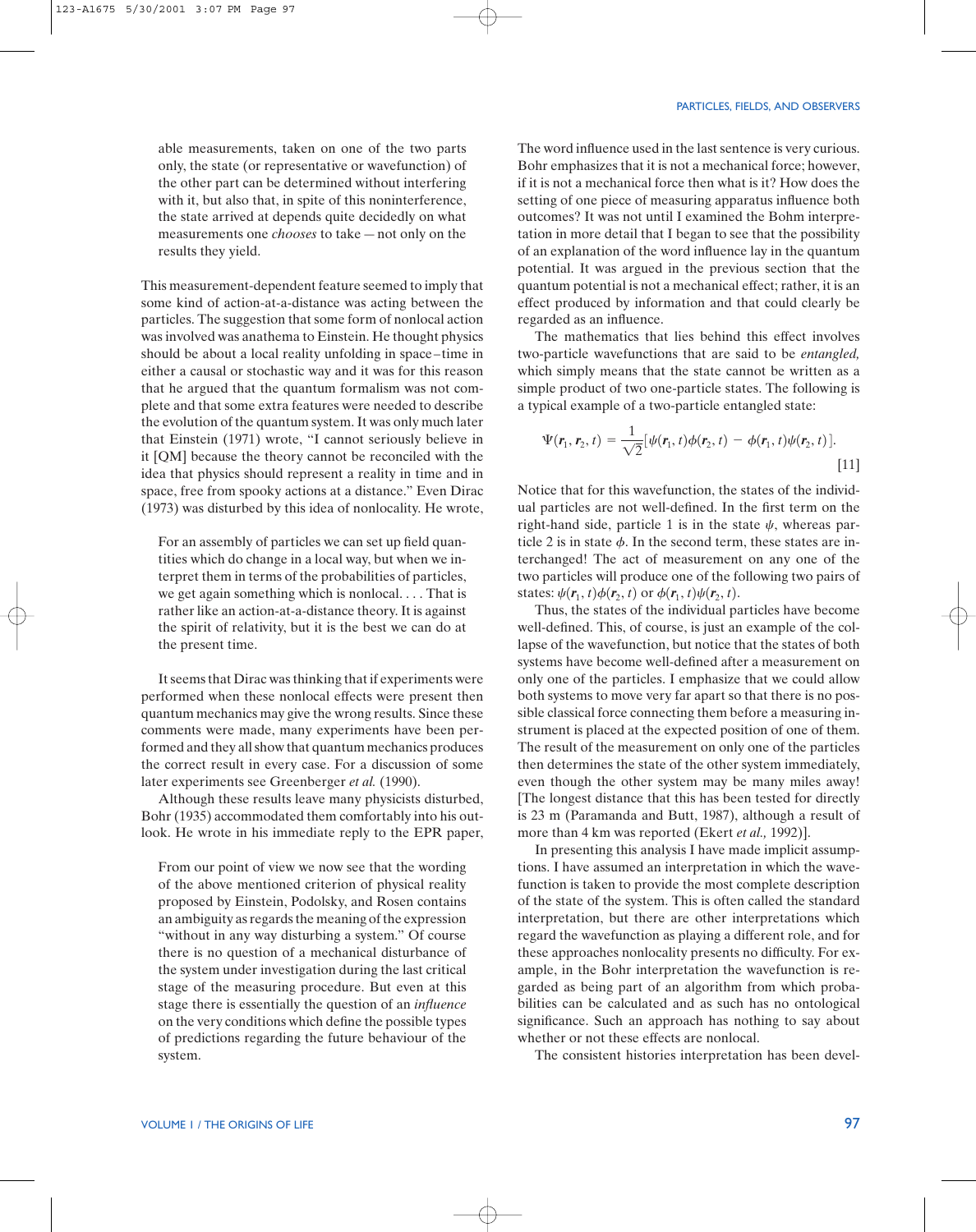able measurements, taken on one of the two parts only, the state (or representative or wavefunction) of the other part can be determined without interfering with it, but also that, in spite of this noninterference, the state arrived at depends quite decidedly on what measurements one *chooses* to take—not only on the results they yield.

This measurement-dependent feature seemed to imply that some kind of action-at-a-distance was acting between the particles. The suggestion that some form of nonlocal action was involved was anathema to Einstein. He thought physics should be about a local reality unfolding in space–time in either a causal or stochastic way and it was for this reason that he argued that the quantum formalism was not complete and that some extra features were needed to describe the evolution of the quantum system. It was only much later that Einstein (1971) wrote, "I cannot seriously believe in it [QM] because the theory cannot be reconciled with the idea that physics should represent a reality in time and in space, free from spooky actions at a distance." Even Dirac (1973) was disturbed by this idea of nonlocality. He wrote,

For an assembly of particles we can set up field quantities which do change in a local way, but when we interpret them in terms of the probabilities of particles, we get again something which is nonlocal. . . . That is rather like an action-at-a-distance theory. It is against the spirit of relativity, but it is the best we can do at the present time.

It seems that Dirac was thinking that if experiments were performed when these nonlocal effects were present then quantum mechanics may give the wrong results. Since these comments were made, many experiments have been performed and they all show that quantum mechanics produces the correct result in every case. For a discussion of some later experiments see Greenberger *et al.* (1990).

Although these results leave many physicists disturbed, Bohr (1935) accommodated them comfortably into his outlook. He wrote in his immediate reply to the EPR paper,

From our point of view we now see that the wording of the above mentioned criterion of physical reality proposed by Einstein, Podolsky, and Rosen contains an ambiguity as regards the meaning of the expression "without in any way disturbing a system." Of course there is no question of a mechanical disturbance of the system under investigation during the last critical stage of the measuring procedure. But even at this stage there is essentially the question of an *influence* on the very conditions which define the possible types of predictions regarding the future behaviour of the system.

The word influence used in the last sentence is very curious. Bohr emphasizes that it is not a mechanical force; however, if it is not a mechanical force then what is it? How does the setting of one piece of measuring apparatus influence both outcomes? It was not until I examined the Bohm interpretation in more detail that I began to see that the possibility of an explanation of the word influence lay in the quantum potential. It was argued in the previous section that the quantum potential is not a mechanical effect; rather, it is an effect produced by information and that could clearly be regarded as an influence.

The mathematics that lies behind this effect involves two-particle wavefunctions that are said to be *entangled,* which simply means that the state cannot be written as a simple product of two one-particle states. The following is a typical example of a two-particle entangled state:

$$
\Psi(\mathbf{r}_1, \mathbf{r}_2, t) = \frac{1}{\sqrt{2}} [\psi(\mathbf{r}_1, t) \phi(\mathbf{r}_2, t) - \phi(\mathbf{r}_1, t) \psi(\mathbf{r}_2, t)].
$$
\n[11]

Notice that for this wavefunction, the states of the individual particles are not well-defined. In the first term on the right-hand side, particle 1 is in the state  $\psi$ , whereas particle 2 is in state  $\phi$ . In the second term, these states are interchanged! The act of measurement on any one of the two particles will produce one of the following two pairs of states:  $\psi(\mathbf{r}_1, t)\phi(\mathbf{r}_2, t)$  or  $\phi(\mathbf{r}_1, t)\psi(\mathbf{r}_2, t)$ .

Thus, the states of the individual particles have become well-defined. This, of course, is just an example of the collapse of the wavefunction, but notice that the states of both systems have become well-defined after a measurement on only one of the particles. I emphasize that we could allow both systems to move very far apart so that there is no possible classical force connecting them before a measuring instrument is placed at the expected position of one of them. The result of the measurement on only one of the particles then determines the state of the other system immediately, even though the other system may be many miles away! [The longest distance that this has been tested for directly is 23 m (Paramanda and Butt, 1987), although a result of more than 4 km was reported (Ekert *et al.,* 1992)].

In presenting this analysis I have made implicit assumptions. I have assumed an interpretation in which the wavefunction is taken to provide the most complete description of the state of the system. This is often called the standard interpretation, but there are other interpretations which regard the wavefunction as playing a different role, and for these approaches nonlocality presents no difficulty. For example, in the Bohr interpretation the wavefunction is regarded as being part of an algorithm from which probabilities can be calculated and as such has no ontological significance. Such an approach has nothing to say about whether or not these effects are nonlocal.

The consistent histories interpretation has been devel-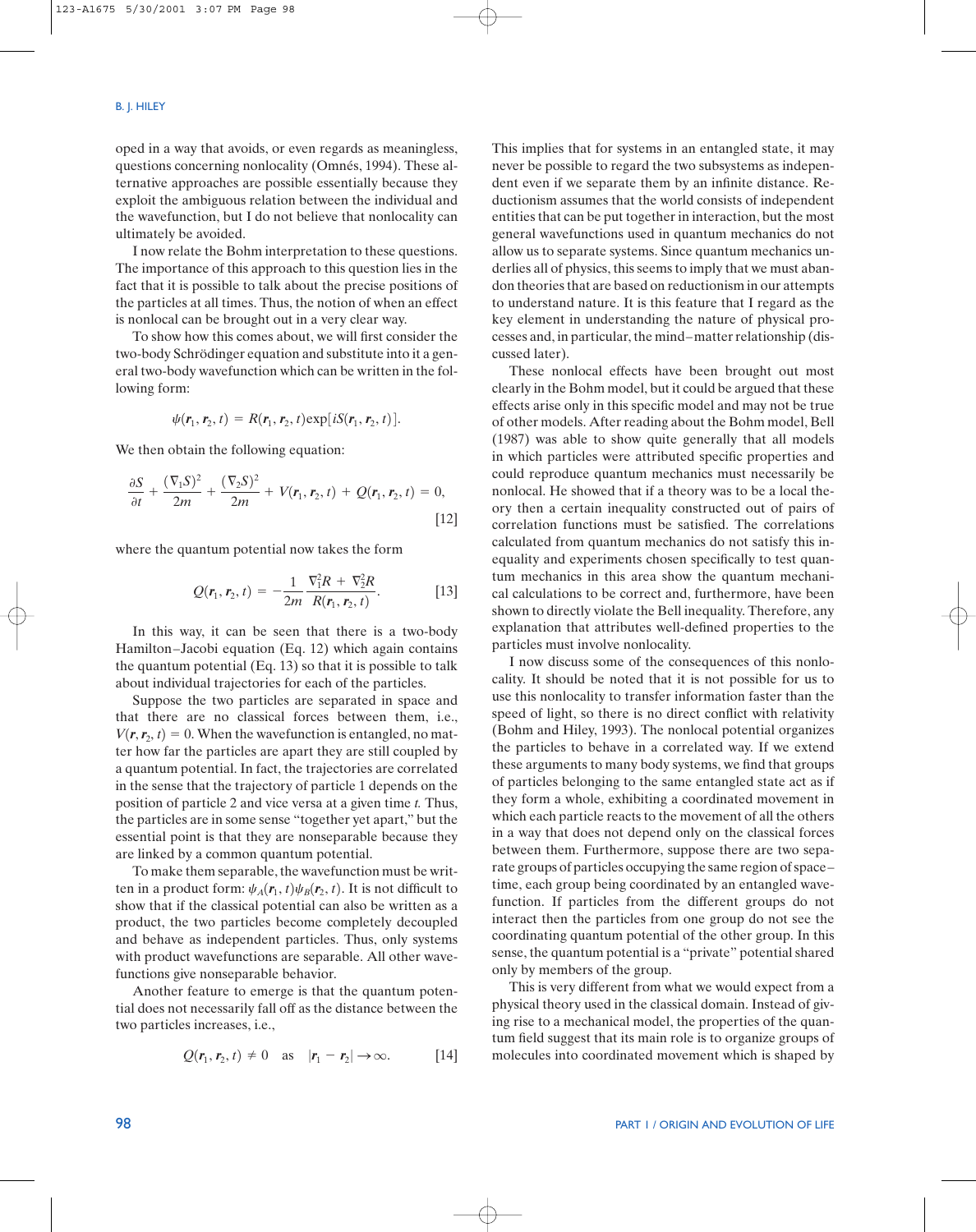oped in a way that avoids, or even regards as meaningless, questions concerning nonlocality (Omnés, 1994). These alternative approaches are possible essentially because they exploit the ambiguous relation between the individual and the wavefunction, but I do not believe that nonlocality can ultimately be avoided.

I now relate the Bohm interpretation to these questions. The importance of this approach to this question lies in the fact that it is possible to talk about the precise positions of the particles at all times. Thus, the notion of when an effect is nonlocal can be brought out in a very clear way.

To show how this comes about, we will first consider the two-body Schrödinger equation and substitute into it a general two-body wavefunction which can be written in the following form:

$$
\psi(\mathbf{r}_1,\mathbf{r}_2,t)=R(\mathbf{r}_1,\mathbf{r}_2,t)\exp[iS(\mathbf{r}_1,\mathbf{r}_2,t)].
$$

We then obtain the following equation:

$$
\frac{\partial S}{\partial t} + \frac{(\nabla_1 S)^2}{2m} + \frac{(\nabla_2 S)^2}{2m} + V(\mathbf{r}_1, \mathbf{r}_2, t) + Q(\mathbf{r}_1, \mathbf{r}_2, t) = 0,
$$
\n[12]

where the quantum potential now takes the form

$$
Q(\mathbf{r}_1, \mathbf{r}_2, t) = -\frac{1}{2m} \frac{\nabla_1^2 R + \nabla_2^2 R}{R(\mathbf{r}_1, \mathbf{r}_2, t)}.
$$
 [13]

In this way, it can be seen that there is a two-body Hamilton–Jacobi equation (Eq. 12) which again contains the quantum potential (Eq. 13) so that it is possible to talk about individual trajectories for each of the particles.

Suppose the two particles are separated in space and that there are no classical forces between them, i.e.,  $V(r, r_2, t) = 0$ . When the wavefunction is entangled, no matter how far the particles are apart they are still coupled by a quantum potential. In fact, the trajectories are correlated in the sense that the trajectory of particle 1 depends on the position of particle 2 and vice versa at a given time *t.* Thus, the particles are in some sense "together yet apart," but the essential point is that they are nonseparable because they are linked by a common quantum potential.

To make them separable, the wavefunction must be written in a product form:  $\psi_A(\mathbf{r}_1, t)\psi_B(\mathbf{r}_2, t)$ . It is not difficult to show that if the classical potential can also be written as a product, the two particles become completely decoupled and behave as independent particles. Thus, only systems with product wavefunctions are separable. All other wavefunctions give nonseparable behavior.

Another feature to emerge is that the quantum potential does not necessarily fall off as the distance between the two particles increases, i.e.,

$$
Q(\mathbf{r}_1, \mathbf{r}_2, t) \neq 0 \quad \text{as} \quad |\mathbf{r}_1 - \mathbf{r}_2| \to \infty. \tag{14}
$$

This implies that for systems in an entangled state, it may never be possible to regard the two subsystems as independent even if we separate them by an infinite distance. Reductionism assumes that the world consists of independent entities that can be put together in interaction, but the most general wavefunctions used in quantum mechanics do not allow us to separate systems. Since quantum mechanics underlies all of physics, this seems to imply that we must abandon theories that are based on reductionism in our attempts to understand nature. It is this feature that I regard as the key element in understanding the nature of physical processes and, in particular, the mind–matter relationship (discussed later).

These nonlocal effects have been brought out most clearly in the Bohm model, but it could be argued that these effects arise only in this specific model and may not be true of other models. After reading about the Bohm model, Bell (1987) was able to show quite generally that all models in which particles were attributed specific properties and could reproduce quantum mechanics must necessarily be nonlocal. He showed that if a theory was to be a local theory then a certain inequality constructed out of pairs of correlation functions must be satisfied. The correlations calculated from quantum mechanics do not satisfy this inequality and experiments chosen specifically to test quantum mechanics in this area show the quantum mechanical calculations to be correct and, furthermore, have been shown to directly violate the Bell inequality. Therefore, any explanation that attributes well-defined properties to the particles must involve nonlocality.

I now discuss some of the consequences of this nonlocality. It should be noted that it is not possible for us to use this nonlocality to transfer information faster than the speed of light, so there is no direct conflict with relativity (Bohm and Hiley, 1993). The nonlocal potential organizes the particles to behave in a correlated way. If we extend these arguments to many body systems, we find that groups of particles belonging to the same entangled state act as if they form a whole, exhibiting a coordinated movement in which each particle reacts to the movement of all the others in a way that does not depend only on the classical forces between them. Furthermore, suppose there are two separate groups of particles occupying the same region of space– time, each group being coordinated by an entangled wavefunction. If particles from the different groups do not interact then the particles from one group do not see the coordinating quantum potential of the other group. In this sense, the quantum potential is a "private" potential shared only by members of the group.

This is very different from what we would expect from a physical theory used in the classical domain. Instead of giving rise to a mechanical model, the properties of the quantum field suggest that its main role is to organize groups of molecules into coordinated movement which is shaped by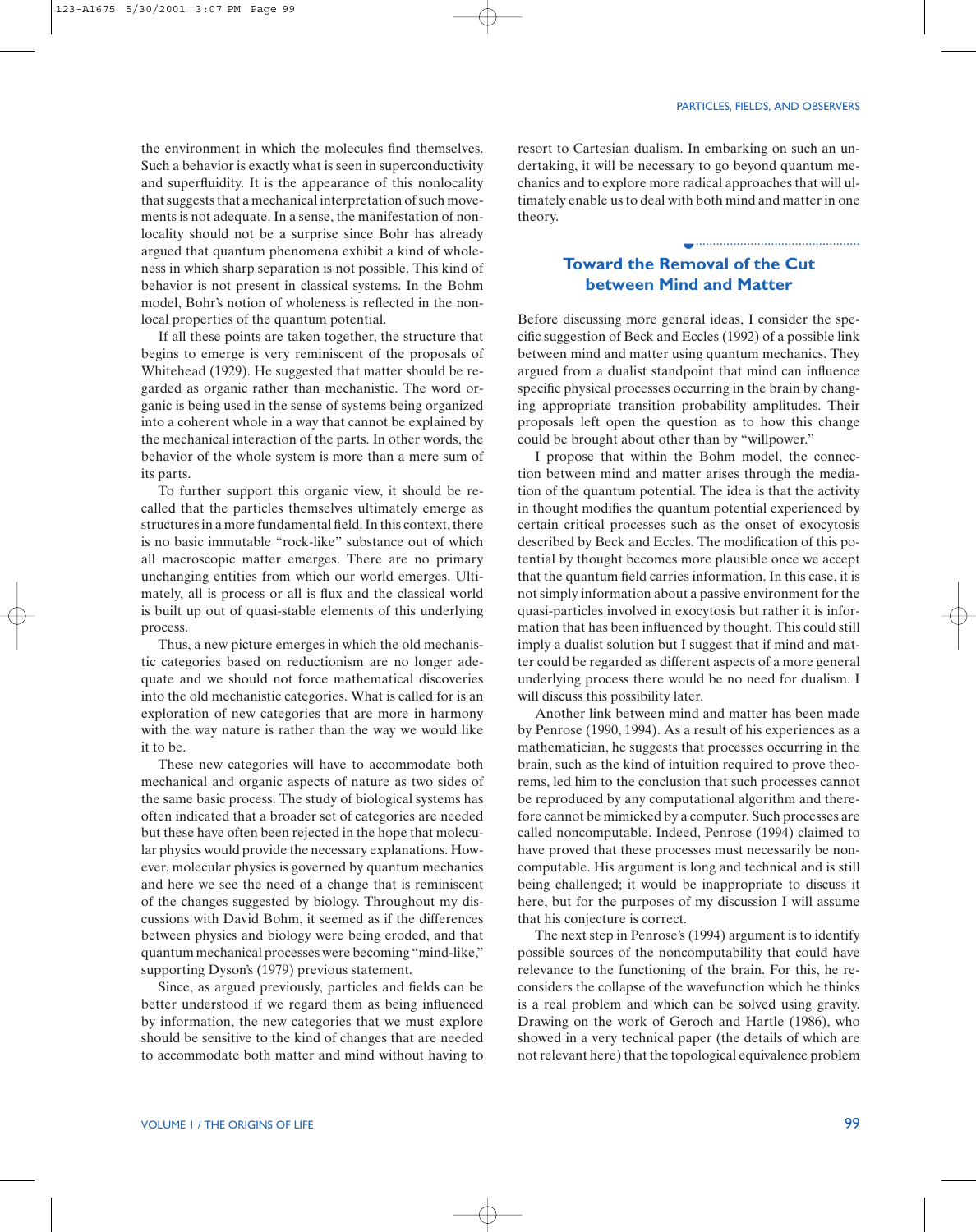................................................

the environment in which the molecules find themselves. Such a behavior is exactly what is seen in superconductivity and superfluidity. It is the appearance of this nonlocality that suggests that a mechanical interpretation of such movements is not adequate. In a sense, the manifestation of nonlocality should not be a surprise since Bohr has already argued that quantum phenomena exhibit a kind of wholeness in which sharp separation is not possible. This kind of behavior is not present in classical systems. In the Bohm model, Bohr's notion of wholeness is reflected in the nonlocal properties of the quantum potential.

If all these points are taken together, the structure that begins to emerge is very reminiscent of the proposals of Whitehead (1929). He suggested that matter should be regarded as organic rather than mechanistic. The word organic is being used in the sense of systems being organized into a coherent whole in a way that cannot be explained by the mechanical interaction of the parts. In other words, the behavior of the whole system is more than a mere sum of its parts.

To further support this organic view, it should be recalled that the particles themselves ultimately emerge as structures in a more fundamental field. In this context, there is no basic immutable "rock-like" substance out of which all macroscopic matter emerges. There are no primary unchanging entities from which our world emerges. Ultimately, all is process or all is flux and the classical world is built up out of quasi-stable elements of this underlying process.

Thus, a new picture emerges in which the old mechanistic categories based on reductionism are no longer adequate and we should not force mathematical discoveries into the old mechanistic categories. What is called for is an exploration of new categories that are more in harmony with the way nature is rather than the way we would like it to be.

These new categories will have to accommodate both mechanical and organic aspects of nature as two sides of the same basic process. The study of biological systems has often indicated that a broader set of categories are needed but these have often been rejected in the hope that molecular physics would provide the necessary explanations. However, molecular physics is governed by quantum mechanics and here we see the need of a change that is reminiscent of the changes suggested by biology. Throughout my discussions with David Bohm, it seemed as if the differences between physics and biology were being eroded, and that quantum mechanical processes were becoming "mind-like," supporting Dyson's (1979) previous statement.

Since, as argued previously, particles and fields can be better understood if we regard them as being influenced by information, the new categories that we must explore should be sensitive to the kind of changes that are needed to accommodate both matter and mind without having to resort to Cartesian dualism. In embarking on such an undertaking, it will be necessary to go beyond quantum mechanics and to explore more radical approaches that will ultimately enable us to deal with both mind and matter in one theory.

# **Toward the Removal of the Cut between Mind and Matter**

◗

Before discussing more general ideas, I consider the specific suggestion of Beck and Eccles (1992) of a possible link between mind and matter using quantum mechanics. They argued from a dualist standpoint that mind can influence specific physical processes occurring in the brain by changing appropriate transition probability amplitudes. Their proposals left open the question as to how this change could be brought about other than by "willpower."

I propose that within the Bohm model, the connection between mind and matter arises through the mediation of the quantum potential. The idea is that the activity in thought modifies the quantum potential experienced by certain critical processes such as the onset of exocytosis described by Beck and Eccles. The modification of this potential by thought becomes more plausible once we accept that the quantum field carries information. In this case, it is not simply information about a passive environment for the quasi-particles involved in exocytosis but rather it is information that has been influenced by thought. This could still imply a dualist solution but I suggest that if mind and matter could be regarded as different aspects of a more general underlying process there would be no need for dualism. I will discuss this possibility later.

Another link between mind and matter has been made by Penrose (1990, 1994). As a result of his experiences as a mathematician, he suggests that processes occurring in the brain, such as the kind of intuition required to prove theorems, led him to the conclusion that such processes cannot be reproduced by any computational algorithm and therefore cannot be mimicked by a computer. Such processes are called noncomputable. Indeed, Penrose (1994) claimed to have proved that these processes must necessarily be noncomputable. His argument is long and technical and is still being challenged; it would be inappropriate to discuss it here, but for the purposes of my discussion I will assume that his conjecture is correct.

The next step in Penrose's (1994) argument is to identify possible sources of the noncomputability that could have relevance to the functioning of the brain. For this, he reconsiders the collapse of the wavefunction which he thinks is a real problem and which can be solved using gravity. Drawing on the work of Geroch and Hartle (1986), who showed in a very technical paper (the details of which are not relevant here) that the topological equivalence problem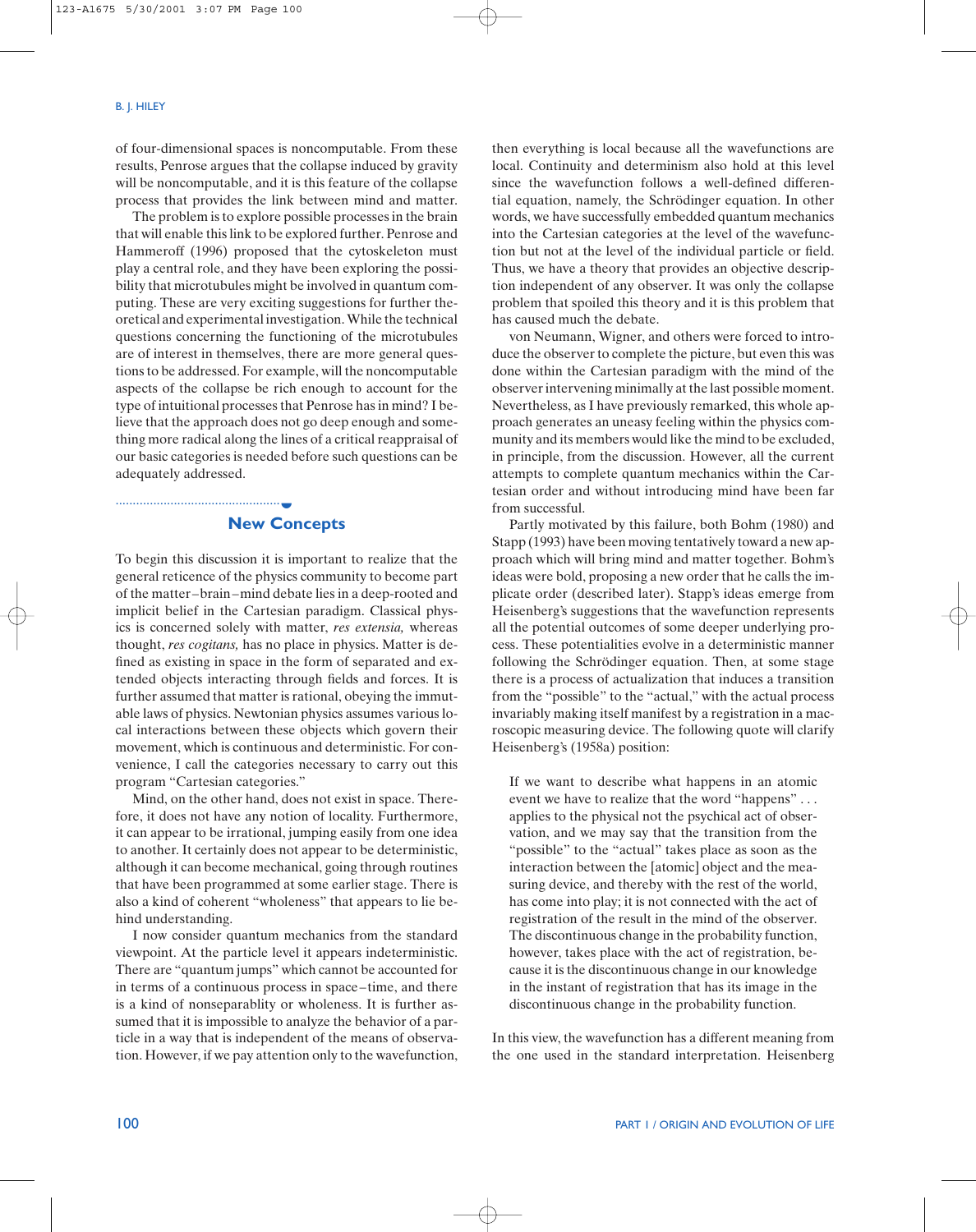of four-dimensional spaces is noncomputable. From these results, Penrose argues that the collapse induced by gravity will be noncomputable, and it is this feature of the collapse process that provides the link between mind and matter.

The problem is to explore possible processes in the brain that will enable this link to be explored further. Penrose and Hammeroff (1996) proposed that the cytoskeleton must play a central role, and they have been exploring the possibility that microtubules might be involved in quantum computing. These are very exciting suggestions for further theoretical and experimental investigation. While the technical questions concerning the functioning of the microtubules are of interest in themselves, there are more general questions to be addressed. For example, will the noncomputable aspects of the collapse be rich enough to account for the type of intuitional processes that Penrose has in mind? I believe that the approach does not go deep enough and something more radical along the lines of a critical reappraisal of our basic categories is needed before such questions can be adequately addressed.

# **New Concepts**

................................................ ◗

To begin this discussion it is important to realize that the general reticence of the physics community to become part of the matter–brain–mind debate lies in a deep-rooted and implicit belief in the Cartesian paradigm. Classical physics is concerned solely with matter, *res extensia,* whereas thought, *res cogitans,* has no place in physics. Matter is defined as existing in space in the form of separated and extended objects interacting through fields and forces. It is further assumed that matter is rational, obeying the immutable laws of physics. Newtonian physics assumes various local interactions between these objects which govern their movement, which is continuous and deterministic. For convenience, I call the categories necessary to carry out this program "Cartesian categories."

Mind, on the other hand, does not exist in space. Therefore, it does not have any notion of locality. Furthermore, it can appear to be irrational, jumping easily from one idea to another. It certainly does not appear to be deterministic, although it can become mechanical, going through routines that have been programmed at some earlier stage. There is also a kind of coherent "wholeness" that appears to lie behind understanding.

I now consider quantum mechanics from the standard viewpoint. At the particle level it appears indeterministic. There are "quantum jumps" which cannot be accounted for in terms of a continuous process in space–time, and there is a kind of nonseparablity or wholeness. It is further assumed that it is impossible to analyze the behavior of a particle in a way that is independent of the means of observation. However, if we pay attention only to the wavefunction, then everything is local because all the wavefunctions are local. Continuity and determinism also hold at this level since the wavefunction follows a well-defined differential equation, namely, the Schrödinger equation. In other words, we have successfully embedded quantum mechanics into the Cartesian categories at the level of the wavefunction but not at the level of the individual particle or field. Thus, we have a theory that provides an objective description independent of any observer. It was only the collapse problem that spoiled this theory and it is this problem that has caused much the debate.

von Neumann, Wigner, and others were forced to introduce the observer to complete the picture, but even this was done within the Cartesian paradigm with the mind of the observer intervening minimally at the last possible moment. Nevertheless, as I have previously remarked, this whole approach generates an uneasy feeling within the physics community and its members would like the mind to be excluded, in principle, from the discussion. However, all the current attempts to complete quantum mechanics within the Cartesian order and without introducing mind have been far from successful.

Partly motivated by this failure, both Bohm (1980) and Stapp (1993) have been moving tentatively toward a new approach which will bring mind and matter together. Bohm's ideas were bold, proposing a new order that he calls the implicate order (described later). Stapp's ideas emerge from Heisenberg's suggestions that the wavefunction represents all the potential outcomes of some deeper underlying process. These potentialities evolve in a deterministic manner following the Schrödinger equation. Then, at some stage there is a process of actualization that induces a transition from the "possible" to the "actual," with the actual process invariably making itself manifest by a registration in a macroscopic measuring device. The following quote will clarify Heisenberg's (1958a) position:

If we want to describe what happens in an atomic event we have to realize that the word "happens" ... applies to the physical not the psychical act of observation, and we may say that the transition from the "possible" to the "actual" takes place as soon as the interaction between the [atomic] object and the measuring device, and thereby with the rest of the world, has come into play; it is not connected with the act of registration of the result in the mind of the observer. The discontinuous change in the probability function, however, takes place with the act of registration, because it is the discontinuous change in our knowledge in the instant of registration that has its image in the discontinuous change in the probability function.

In this view, the wavefunction has a different meaning from the one used in the standard interpretation. Heisenberg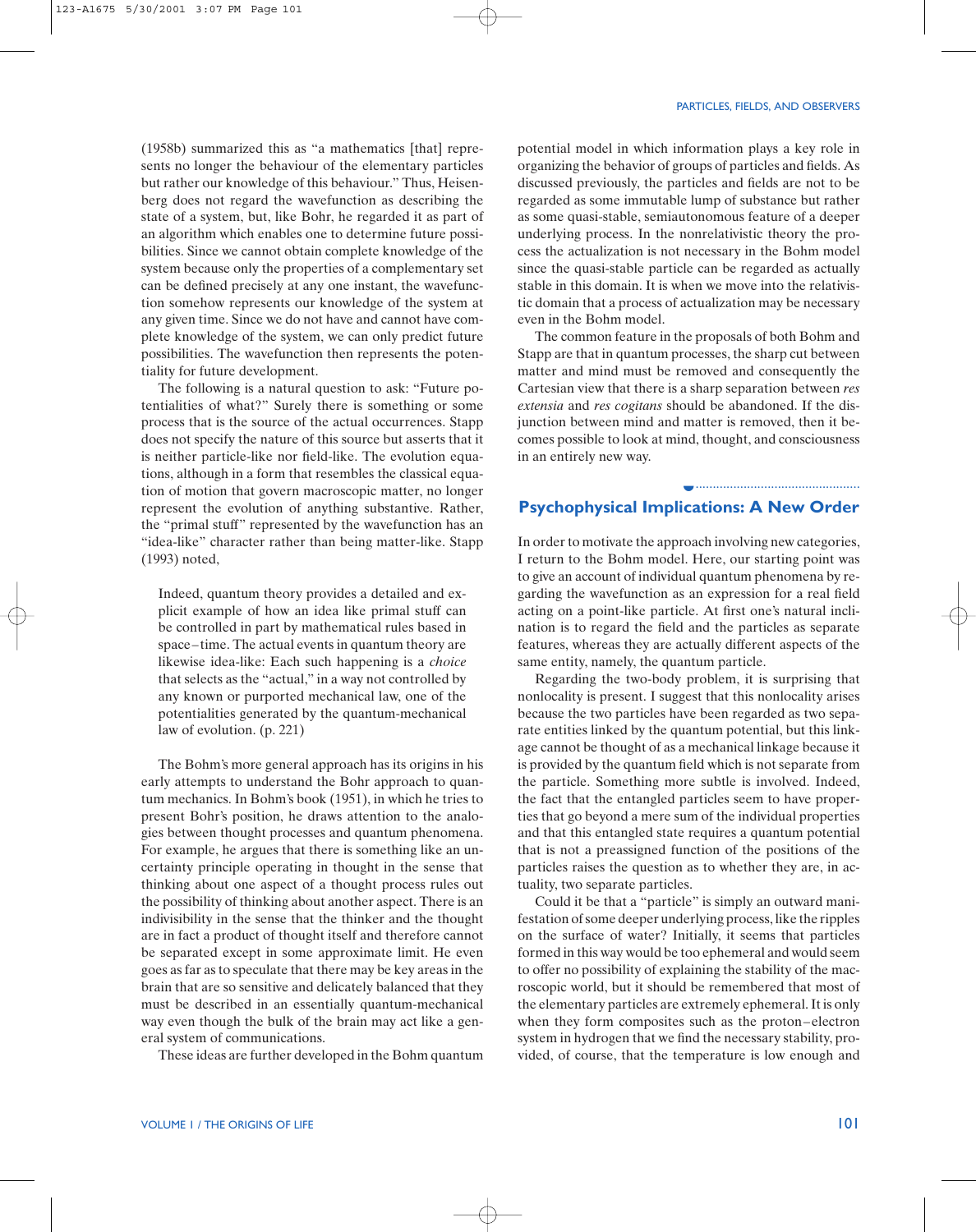................................................

(1958b) summarized this as "a mathematics [that] represents no longer the behaviour of the elementary particles but rather our knowledge of this behaviour." Thus, Heisenberg does not regard the wavefunction as describing the state of a system, but, like Bohr, he regarded it as part of an algorithm which enables one to determine future possibilities. Since we cannot obtain complete knowledge of the system because only the properties of a complementary set can be defined precisely at any one instant, the wavefunction somehow represents our knowledge of the system at any given time. Since we do not have and cannot have complete knowledge of the system, we can only predict future possibilities. The wavefunction then represents the potentiality for future development.

The following is a natural question to ask: "Future potentialities of what?" Surely there is something or some process that is the source of the actual occurrences. Stapp does not specify the nature of this source but asserts that it is neither particle-like nor field-like. The evolution equations, although in a form that resembles the classical equation of motion that govern macroscopic matter, no longer represent the evolution of anything substantive. Rather, the "primal stuff" represented by the wavefunction has an "idea-like" character rather than being matter-like. Stapp (1993) noted,

Indeed, quantum theory provides a detailed and explicit example of how an idea like primal stuff can be controlled in part by mathematical rules based in space–time. The actual events in quantum theory are likewise idea-like: Each such happening is a *choice* that selects as the "actual," in a way not controlled by any known or purported mechanical law, one of the potentialities generated by the quantum-mechanical law of evolution. (p. 221)

The Bohm's more general approach has its origins in his early attempts to understand the Bohr approach to quantum mechanics. In Bohm's book (1951), in which he tries to present Bohr's position, he draws attention to the analogies between thought processes and quantum phenomena. For example, he argues that there is something like an uncertainty principle operating in thought in the sense that thinking about one aspect of a thought process rules out the possibility of thinking about another aspect. There is an indivisibility in the sense that the thinker and the thought are in fact a product of thought itself and therefore cannot be separated except in some approximate limit. He even goes as far as to speculate that there may be key areas in the brain that are so sensitive and delicately balanced that they must be described in an essentially quantum-mechanical way even though the bulk of the brain may act like a general system of communications.

These ideas are further developed in the Bohm quantum

potential model in which information plays a key role in organizing the behavior of groups of particles and fields. As discussed previously, the particles and fields are not to be regarded as some immutable lump of substance but rather as some quasi-stable, semiautonomous feature of a deeper underlying process. In the nonrelativistic theory the process the actualization is not necessary in the Bohm model since the quasi-stable particle can be regarded as actually stable in this domain. It is when we move into the relativistic domain that a process of actualization may be necessary even in the Bohm model.

The common feature in the proposals of both Bohm and Stapp are that in quantum processes, the sharp cut between matter and mind must be removed and consequently the Cartesian view that there is a sharp separation between *res extensia* and *res cogitans* should be abandoned. If the disjunction between mind and matter is removed, then it becomes possible to look at mind, thought, and consciousness in an entirely new way.

# **Psychophysical Implications: A New Order** ◗

In order to motivate the approach involving new categories, I return to the Bohm model. Here, our starting point was to give an account of individual quantum phenomena by regarding the wavefunction as an expression for a real field acting on a point-like particle. At first one's natural inclination is to regard the field and the particles as separate features, whereas they are actually different aspects of the same entity, namely, the quantum particle.

Regarding the two-body problem, it is surprising that nonlocality is present. I suggest that this nonlocality arises because the two particles have been regarded as two separate entities linked by the quantum potential, but this linkage cannot be thought of as a mechanical linkage because it is provided by the quantum field which is not separate from the particle. Something more subtle is involved. Indeed, the fact that the entangled particles seem to have properties that go beyond a mere sum of the individual properties and that this entangled state requires a quantum potential that is not a preassigned function of the positions of the particles raises the question as to whether they are, in actuality, two separate particles.

Could it be that a "particle" is simply an outward manifestation of some deeper underlying process, like the ripples on the surface of water? Initially, it seems that particles formed in this way would be too ephemeral and would seem to offer no possibility of explaining the stability of the macroscopic world, but it should be remembered that most of the elementary particles are extremely ephemeral. It is only when they form composites such as the proton–electron system in hydrogen that we find the necessary stability, provided, of course, that the temperature is low enough and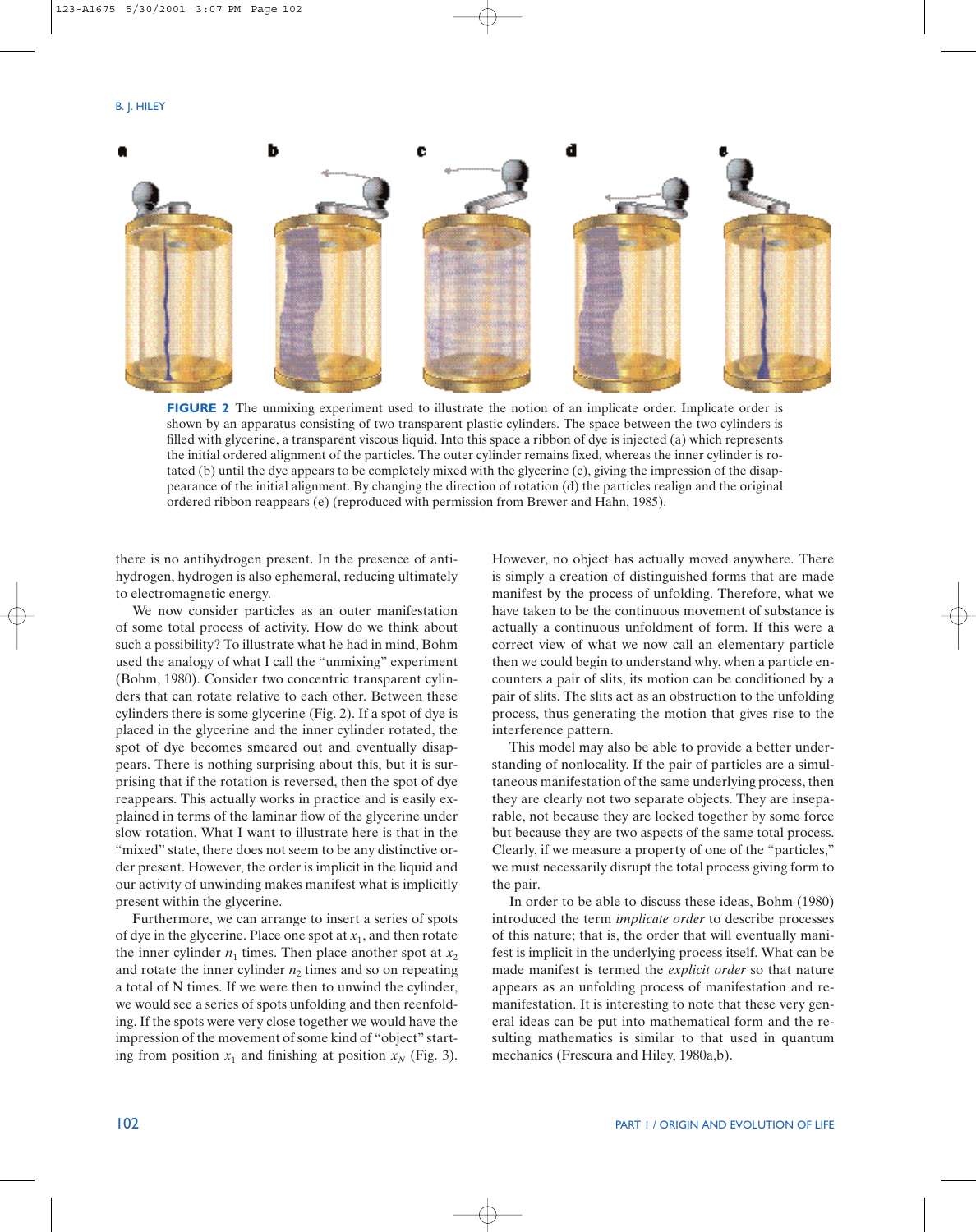

**FIGURE 2** The unmixing experiment used to illustrate the notion of an implicate order. Implicate order is shown by an apparatus consisting of two transparent plastic cylinders. The space between the two cylinders is filled with glycerine, a transparent viscous liquid. Into this space a ribbon of dye is injected (a) which represents the initial ordered alignment of the particles. The outer cylinder remains fixed, whereas the inner cylinder is rotated (b) until the dye appears to be completely mixed with the glycerine (c), giving the impression of the disappearance of the initial alignment. By changing the direction of rotation (d) the particles realign and the original ordered ribbon reappears (e) (reproduced with permission from Brewer and Hahn, 1985).

there is no antihydrogen present. In the presence of antihydrogen, hydrogen is also ephemeral, reducing ultimately to electromagnetic energy.

We now consider particles as an outer manifestation of some total process of activity. How do we think about such a possibility? To illustrate what he had in mind, Bohm used the analogy of what I call the "unmixing" experiment (Bohm, 1980). Consider two concentric transparent cylinders that can rotate relative to each other. Between these cylinders there is some glycerine (Fig. 2). If a spot of dye is placed in the glycerine and the inner cylinder rotated, the spot of dye becomes smeared out and eventually disappears. There is nothing surprising about this, but it is surprising that if the rotation is reversed, then the spot of dye reappears. This actually works in practice and is easily explained in terms of the laminar flow of the glycerine under slow rotation. What I want to illustrate here is that in the "mixed" state, there does not seem to be any distinctive order present. However, the order is implicit in the liquid and our activity of unwinding makes manifest what is implicitly present within the glycerine.

Furthermore, we can arrange to insert a series of spots of dye in the glycerine. Place one spot at  $x_1$ , and then rotate the inner cylinder  $n_1$  times. Then place another spot at  $x_2$ and rotate the inner cylinder  $n_2$  times and so on repeating a total of N times. If we were then to unwind the cylinder, we would see a series of spots unfolding and then reenfolding. If the spots were very close together we would have the impression of the movement of some kind of "object" starting from position  $x_1$  and finishing at position  $x_N$  (Fig. 3).

However, no object has actually moved anywhere. There is simply a creation of distinguished forms that are made manifest by the process of unfolding. Therefore, what we have taken to be the continuous movement of substance is actually a continuous unfoldment of form. If this were a correct view of what we now call an elementary particle then we could begin to understand why, when a particle encounters a pair of slits, its motion can be conditioned by a pair of slits. The slits act as an obstruction to the unfolding process, thus generating the motion that gives rise to the interference pattern.

This model may also be able to provide a better understanding of nonlocality. If the pair of particles are a simultaneous manifestation of the same underlying process, then they are clearly not two separate objects. They are inseparable, not because they are locked together by some force but because they are two aspects of the same total process. Clearly, if we measure a property of one of the "particles," we must necessarily disrupt the total process giving form to the pair.

In order to be able to discuss these ideas, Bohm (1980) introduced the term *implicate order* to describe processes of this nature; that is, the order that will eventually manifest is implicit in the underlying process itself. What can be made manifest is termed the *explicit order* so that nature appears as an unfolding process of manifestation and remanifestation. It is interesting to note that these very general ideas can be put into mathematical form and the resulting mathematics is similar to that used in quantum mechanics (Frescura and Hiley, 1980a,b).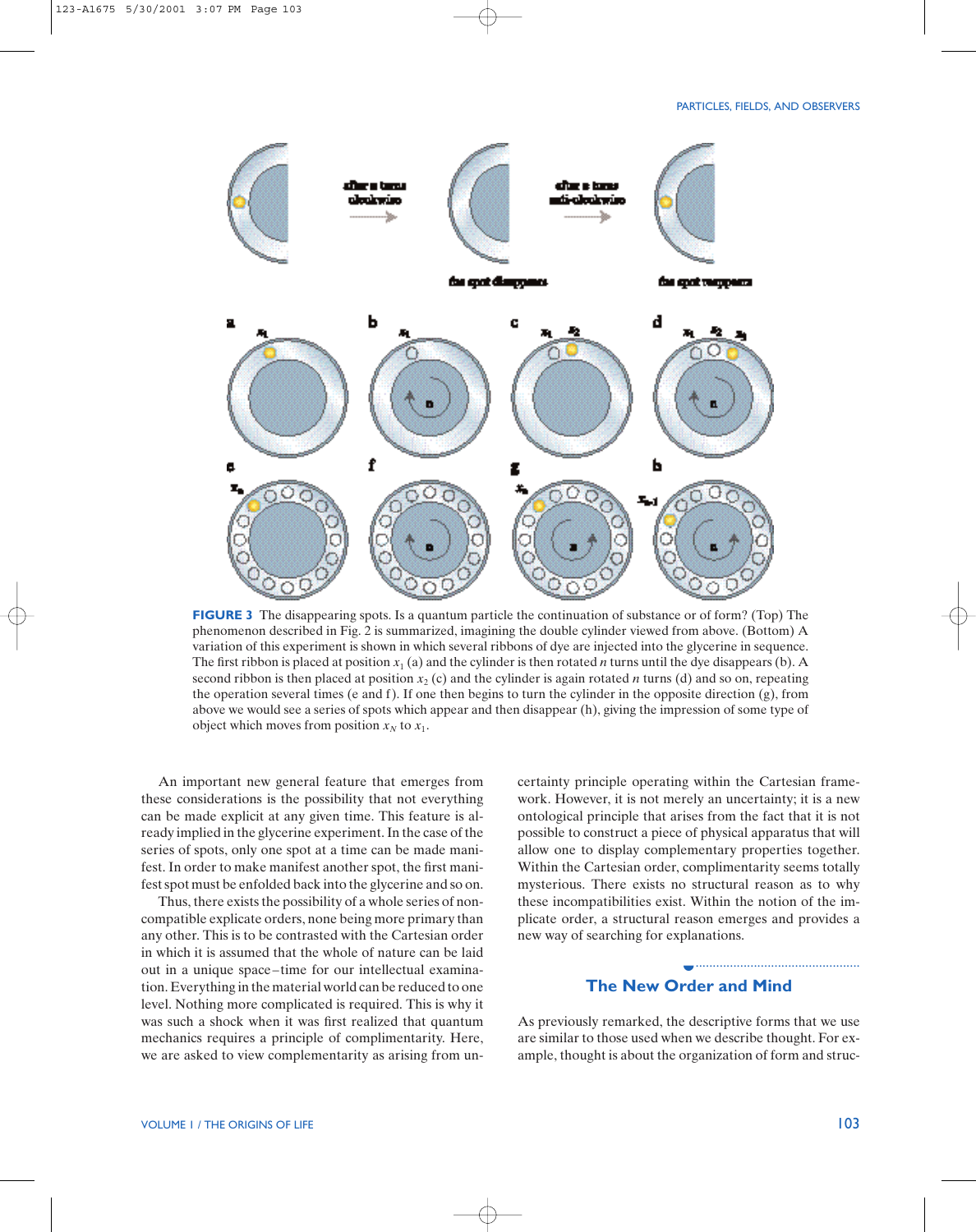

**FIGURE 3** The disappearing spots. Is a quantum particle the continuation of substance or of form? (Top) The phenomenon described in Fig. 2 is summarized, imagining the double cylinder viewed from above. (Bottom) A variation of this experiment is shown in which several ribbons of dye are injected into the glycerine in sequence. The first ribbon is placed at position  $x_1$  (a) and the cylinder is then rotated *n* turns until the dye disappears (b). A second ribbon is then placed at position  $x_2$  (c) and the cylinder is again rotated *n* turns (d) and so on, repeating the operation several times (e and f). If one then begins to turn the cylinder in the opposite direction (g), from above we would see a series of spots which appear and then disappear (h), giving the impression of some type of object which moves from position  $x_N$  to  $x_1$ .

An important new general feature that emerges from these considerations is the possibility that not everything can be made explicit at any given time. This feature is already implied in the glycerine experiment. In the case of the series of spots, only one spot at a time can be made manifest. In order to make manifest another spot, the first manifest spot must be enfolded back into the glycerine and so on.

Thus, there exists the possibility of a whole series of noncompatible explicate orders, none being more primary than any other. This is to be contrasted with the Cartesian order in which it is assumed that the whole of nature can be laid out in a unique space–time for our intellectual examination. Everything in the material world can be reduced to one level. Nothing more complicated is required. This is why it was such a shock when it was first realized that quantum mechanics requires a principle of complimentarity. Here, we are asked to view complementarity as arising from uncertainty principle operating within the Cartesian framework. However, it is not merely an uncertainty; it is a new ontological principle that arises from the fact that it is not possible to construct a piece of physical apparatus that will allow one to display complementary properties together. Within the Cartesian order, complimentarity seems totally mysterious. There exists no structural reason as to why these incompatibilities exist. Within the notion of the implicate order, a structural reason emerges and provides a new way of searching for explanations.

# **The New Order and Mind** ◗

................................................

As previously remarked, the descriptive forms that we use are similar to those used when we describe thought. For example, thought is about the organization of form and struc-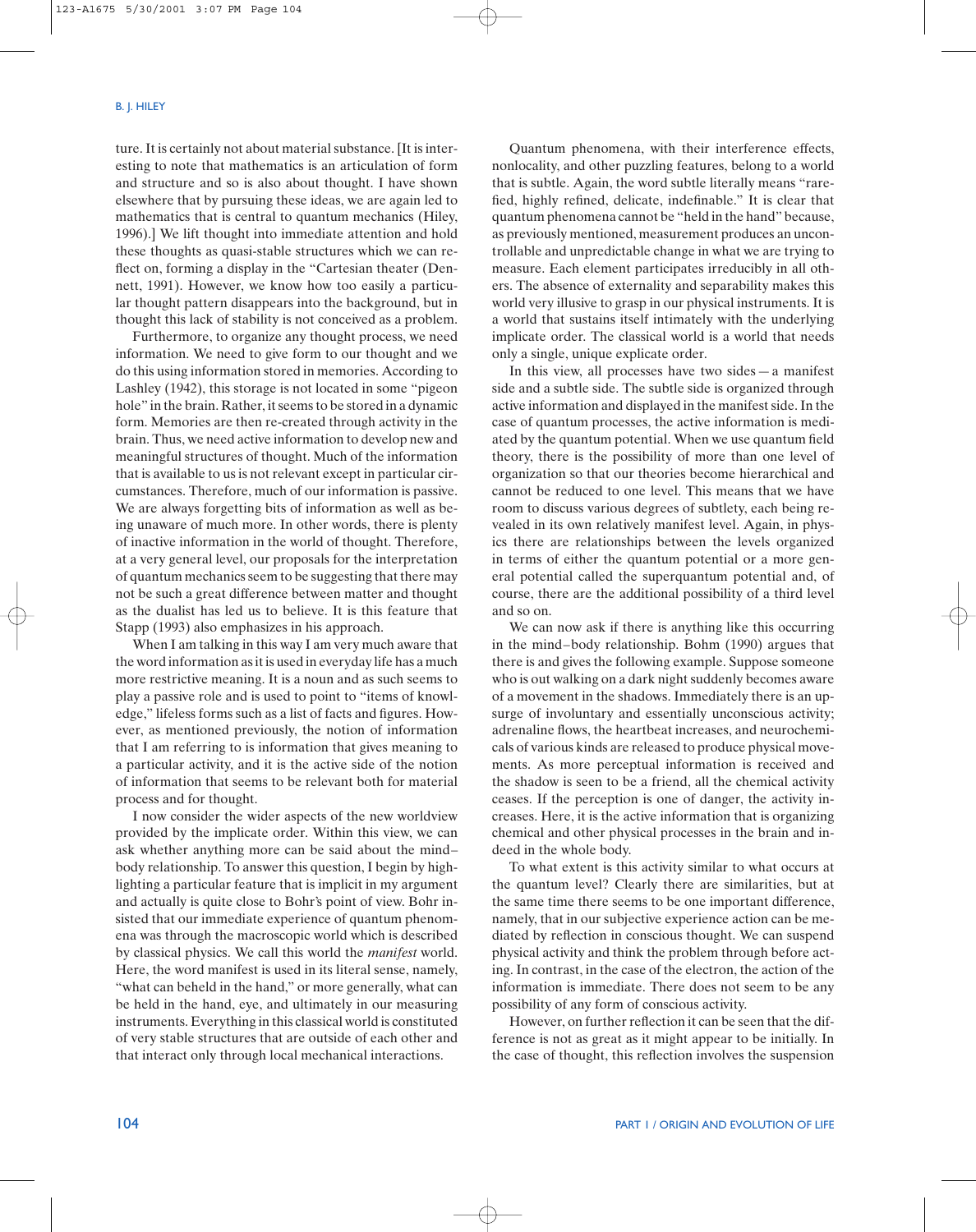ture. It is certainly not about material substance. [It is interesting to note that mathematics is an articulation of form and structure and so is also about thought. I have shown elsewhere that by pursuing these ideas, we are again led to mathematics that is central to quantum mechanics (Hiley, 1996).] We lift thought into immediate attention and hold these thoughts as quasi-stable structures which we can reflect on, forming a display in the "Cartesian theater (Dennett, 1991). However, we know how too easily a particular thought pattern disappears into the background, but in thought this lack of stability is not conceived as a problem.

Furthermore, to organize any thought process, we need information. We need to give form to our thought and we do this using information stored in memories. According to Lashley (1942), this storage is not located in some "pigeon hole" in the brain. Rather, it seems to be stored in a dynamic form. Memories are then re-created through activity in the brain. Thus, we need active information to develop new and meaningful structures of thought. Much of the information that is available to us is not relevant except in particular circumstances. Therefore, much of our information is passive. We are always forgetting bits of information as well as being unaware of much more. In other words, there is plenty of inactive information in the world of thought. Therefore, at a very general level, our proposals for the interpretation of quantum mechanics seem to be suggesting that there may not be such a great difference between matter and thought as the dualist has led us to believe. It is this feature that Stapp (1993) also emphasizes in his approach.

When I am talking in this way I am very much aware that the word information as it is used in everyday life has a much more restrictive meaning. It is a noun and as such seems to play a passive role and is used to point to "items of knowledge," lifeless forms such as a list of facts and figures. However, as mentioned previously, the notion of information that I am referring to is information that gives meaning to a particular activity, and it is the active side of the notion of information that seems to be relevant both for material process and for thought.

I now consider the wider aspects of the new worldview provided by the implicate order. Within this view, we can ask whether anything more can be said about the mind– body relationship. To answer this question, I begin by highlighting a particular feature that is implicit in my argument and actually is quite close to Bohr's point of view. Bohr insisted that our immediate experience of quantum phenomena was through the macroscopic world which is described by classical physics. We call this world the *manifest* world. Here, the word manifest is used in its literal sense, namely, "what can beheld in the hand," or more generally, what can be held in the hand, eye, and ultimately in our measuring instruments. Everything in this classical world is constituted of very stable structures that are outside of each other and that interact only through local mechanical interactions.

Quantum phenomena, with their interference effects, nonlocality, and other puzzling features, belong to a world that is subtle. Again, the word subtle literally means "rarefied, highly refined, delicate, indefinable." It is clear that quantum phenomena cannot be "held in the hand" because, as previously mentioned, measurement produces an uncontrollable and unpredictable change in what we are trying to measure. Each element participates irreducibly in all others. The absence of externality and separability makes this world very illusive to grasp in our physical instruments. It is a world that sustains itself intimately with the underlying implicate order. The classical world is a world that needs only a single, unique explicate order.

In this view, all processes have two sides—a manifest side and a subtle side. The subtle side is organized through active information and displayed in the manifest side. In the case of quantum processes, the active information is mediated by the quantum potential. When we use quantum field theory, there is the possibility of more than one level of organization so that our theories become hierarchical and cannot be reduced to one level. This means that we have room to discuss various degrees of subtlety, each being revealed in its own relatively manifest level. Again, in physics there are relationships between the levels organized in terms of either the quantum potential or a more general potential called the superquantum potential and, of course, there are the additional possibility of a third level and so on.

We can now ask if there is anything like this occurring in the mind–body relationship. Bohm (1990) argues that there is and gives the following example. Suppose someone who is out walking on a dark night suddenly becomes aware of a movement in the shadows. Immediately there is an upsurge of involuntary and essentially unconscious activity; adrenaline flows, the heartbeat increases, and neurochemicals of various kinds are released to produce physical movements. As more perceptual information is received and the shadow is seen to be a friend, all the chemical activity ceases. If the perception is one of danger, the activity increases. Here, it is the active information that is organizing chemical and other physical processes in the brain and indeed in the whole body.

To what extent is this activity similar to what occurs at the quantum level? Clearly there are similarities, but at the same time there seems to be one important difference, namely, that in our subjective experience action can be mediated by reflection in conscious thought. We can suspend physical activity and think the problem through before acting. In contrast, in the case of the electron, the action of the information is immediate. There does not seem to be any possibility of any form of conscious activity.

However, on further reflection it can be seen that the difference is not as great as it might appear to be initially. In the case of thought, this reflection involves the suspension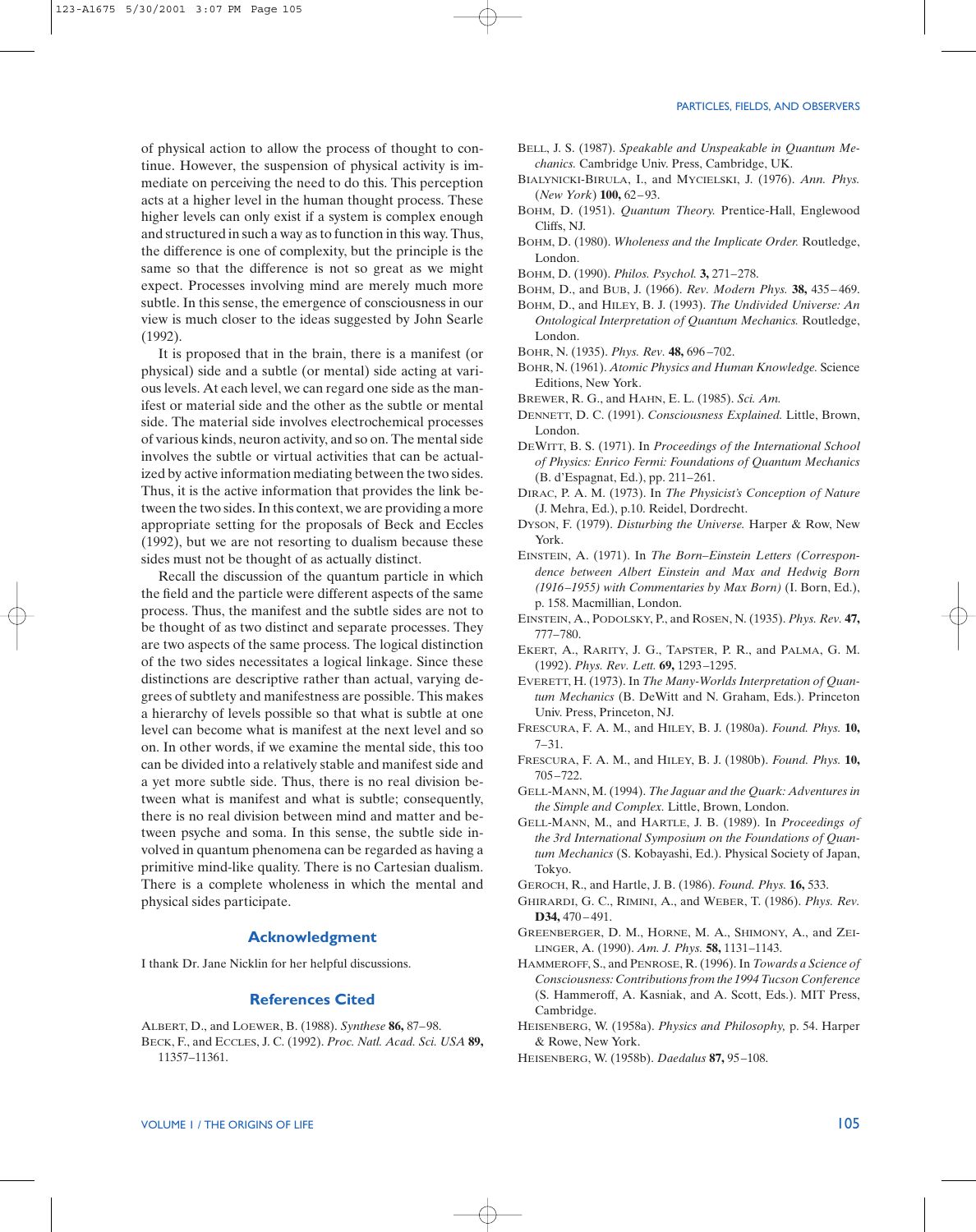of physical action to allow the process of thought to continue. However, the suspension of physical activity is immediate on perceiving the need to do this. This perception acts at a higher level in the human thought process. These higher levels can only exist if a system is complex enough and structured in such a way as to function in this way. Thus, the difference is one of complexity, but the principle is the same so that the difference is not so great as we might expect. Processes involving mind are merely much more subtle. In this sense, the emergence of consciousness in our view is much closer to the ideas suggested by John Searle (1992).

It is proposed that in the brain, there is a manifest (or physical) side and a subtle (or mental) side acting at various levels. At each level, we can regard one side as the manifest or material side and the other as the subtle or mental side. The material side involves electrochemical processes of various kinds, neuron activity, and so on. The mental side involves the subtle or virtual activities that can be actualized by active information mediating between the two sides. Thus, it is the active information that provides the link between the two sides. In this context, we are providing a more appropriate setting for the proposals of Beck and Eccles (1992), but we are not resorting to dualism because these sides must not be thought of as actually distinct.

Recall the discussion of the quantum particle in which the field and the particle were different aspects of the same process. Thus, the manifest and the subtle sides are not to be thought of as two distinct and separate processes. They are two aspects of the same process. The logical distinction of the two sides necessitates a logical linkage. Since these distinctions are descriptive rather than actual, varying degrees of subtlety and manifestness are possible. This makes a hierarchy of levels possible so that what is subtle at one level can become what is manifest at the next level and so on. In other words, if we examine the mental side, this too can be divided into a relatively stable and manifest side and a yet more subtle side. Thus, there is no real division between what is manifest and what is subtle; consequently, there is no real division between mind and matter and between psyche and soma. In this sense, the subtle side involved in quantum phenomena can be regarded as having a primitive mind-like quality. There is no Cartesian dualism. There is a complete wholeness in which the mental and physical sides participate.

# **Acknowledgment**

I thank Dr. Jane Nicklin for her helpful discussions.

# **References Cited**

ALBERT, D., and LOEWER, B. (1988). *Synthese* **86,** 87–98. BECK, F., and ECCLES, J. C. (1992). *Proc. Natl. Acad. Sci. USA* **89,** 11357–11361.

- BELL, J. S. (1987). *Speakable and Unspeakable in Quantum Mechanics.* Cambridge Univ. Press, Cambridge, UK.
- BIALYNICKI-BIRULA, I., and MYCIELSKI, J. (1976). *Ann. Phys.* (*New York*) **100,** 62–93.
- BOHM, D. (1951). *Quantum Theory.* Prentice-Hall, Englewood Cliffs, NJ.
- BOHM, D. (1980). *Wholeness and the Implicate Order.* Routledge, London.
- BOHM, D. (1990). *Philos. Psychol.* **3,** 271–278.
- BOHM, D., and BUB, J. (1966). *Rev. Modern Phys.* **38,** 435– 469.
- BOHM, D., and HILEY, B. J. (1993). *The Undivided Universe: An Ontological Interpretation of Quantum Mechanics.* Routledge, London.
- BOHR, N. (1935). *Phys. Rev.* **48,** 696 –702.
- BOHR, N. (1961). *Atomic Physics and Human Knowledge.* Science Editions, New York.
- BREWER, R. G., and HAHN, E. L. (1985). *Sci. Am.*
- DENNETT, D. C. (1991). *Consciousness Explained.* Little, Brown, London.
- DEWITT, B. S. (1971). In *Proceedings of the International School of Physics: Enrico Fermi: Foundations of Quantum Mechanics* (B. d'Espagnat, Ed.), pp. 211–261.
- DIRAC, P. A. M. (1973). In *The Physicist's Conception of Nature* (J. Mehra, Ed.), p.10. Reidel, Dordrecht.
- DYSON, F. (1979). *Disturbing the Universe.* Harper & Row, New York.
- EINSTEIN, A. (1971). In *The Born*–*Einstein Letters (Correspondence between Albert Einstein and Max and Hedwig Born (1916–1955) with Commentaries by Max Born)* (I. Born, Ed.), p. 158. Macmillian, London.
- EINSTEIN, A., PODOLSKY, P., and ROSEN, N. (1935). *Phys. Rev.* **47,** 777–780.
- EKERT, A., RARITY, J. G., TAPSTER, P. R., and PALMA, G. M. (1992). *Phys. Rev. Lett.* **69,** 1293–1295.
- EVERETT, H. (1973). In *The Many-Worlds Interpretation of Quantum Mechanics* (B. DeWitt and N. Graham, Eds.). Princeton Univ. Press, Princeton, NJ.
- FRESCURA, F. A. M., and HILEY, B. J. (1980a). *Found. Phys.* **10,**  7–31.
- FRESCURA, F. A. M., and HILEY, B. J. (1980b). *Found. Phys.* **10,** 705–722.
- GELL-MANN, M. (1994). *The Jaguar and the Quark: Adventures in the Simple and Complex.* Little, Brown, London.
- GELL-MANN, M., and HARTLE, J. B. (1989). In *Proceedings of the 3rd International Symposium on the Foundations of Quantum Mechanics* (S. Kobayashi, Ed.). Physical Society of Japan, Tokyo.
- GEROCH, R., and Hartle, J. B. (1986). *Found. Phys.* **16,** 533.
- GHIRARDI, G. C., RIMINI, A., and WEBER, T. (1986). *Phys. Rev.* D<sub>34</sub>,  $470 - 491$ .
- GREENBERGER, D. M., HORNE, M. A., SHIMONY, A., and ZEI-LINGER, A. (1990). *Am. J. Phys.* **58,** 1131–1143.
- HAMMEROFF, S., and PENROSE, R. (1996). In *Towards a Science of Consciousness: Contributions from the 1994 Tucson Conference* (S. Hammeroff, A. Kasniak, and A. Scott, Eds.). MIT Press, Cambridge.
- HEISENBERG, W. (1958a). *Physics and Philosophy,* p. 54. Harper & Rowe, New York.
- HEISENBERG, W. (1958b). *Daedalus* **87,** 95–108.